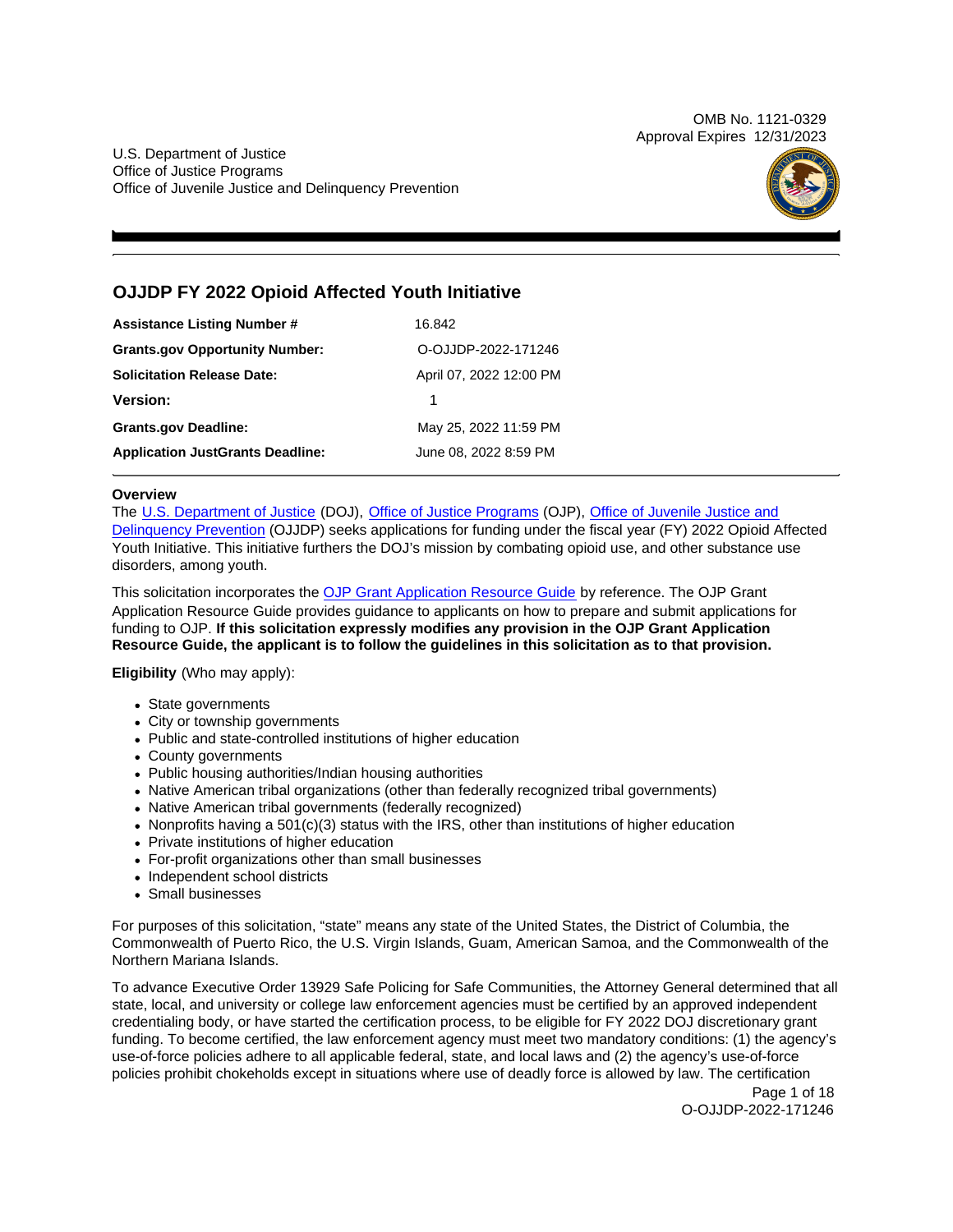OMB No. 1121-0329 Approval Expires 12/31/2023

U.S. Department of Justice Office of Justice Programs Office of Juvenile Justice and Delinquency Prevention



## **OJJDP FY 2022 Opioid Affected Youth Initiative**

| <b>Assistance Listing Number #</b>      | 16.842                  |
|-----------------------------------------|-------------------------|
| <b>Grants.gov Opportunity Number:</b>   | O-OJJDP-2022-171246     |
| <b>Solicitation Release Date:</b>       | April 07, 2022 12:00 PM |
| <b>Version:</b>                         | 1                       |
| <b>Grants.gov Deadline:</b>             | May 25, 2022 11:59 PM   |
| <b>Application JustGrants Deadline:</b> | June 08, 2022 8:59 PM   |

## **Overview**

The [U.S. Department of Justice](https://www.usdoj.gov/) (DOJ), [Office of Justice Programs](https://www.ojp.gov/) (OJP), [Office of Juvenile Justice and](https://ojjdp.ojp.gov/)  [Delinquency Prevention](https://ojjdp.ojp.gov/) (OJJDP) seeks applications for funding under the fiscal year (FY) 2022 Opioid Affected Youth Initiative. This initiative furthers the DOJ's mission by combating opioid use, and other substance use disorders, among youth.

This solicitation incorporates the [OJP Grant Application Resource Guide](https://www.ojp.gov/funding/Apply/Resources/Grant-App-Resource-Guide.htm) by reference. The OJP Grant Application Resource Guide provides guidance to applicants on how to prepare and submit applications for funding to OJP. **If this solicitation expressly modifies any provision in the OJP Grant Application Resource Guide, the applicant is to follow the guidelines in this solicitation as to that provision.** 

**Eligibility** (Who may apply):

- State governments
- City or township governments
- Public and state-controlled institutions of higher education
- County governments
- Public housing authorities/Indian housing authorities
- Native American tribal organizations (other than federally recognized tribal governments)
- Native American tribal governments (federally recognized)
- Nonprofits having a  $501(c)(3)$  status with the IRS, other than institutions of higher education
- Private institutions of higher education
- For-profit organizations other than small businesses
- Independent school districts
- Small businesses

For purposes of this solicitation, "state" means any state of the United States, the District of Columbia, the Commonwealth of Puerto Rico, the U.S. Virgin Islands, Guam, American Samoa, and the Commonwealth of the Northern Mariana Islands.

To advance Executive Order 13929 Safe Policing for Safe Communities, the Attorney General determined that all state, local, and university or college law enforcement agencies must be certified by an approved independent credentialing body, or have started the certification process, to be eligible for FY 2022 DOJ discretionary grant funding. To become certified, the law enforcement agency must meet two mandatory conditions: (1) the agency's use-of-force policies adhere to all applicable federal, state, and local laws and (2) the agency's use-of-force policies prohibit chokeholds except in situations where use of deadly force is allowed by law. The certification

> Page 1 of 18 O-OJJDP-2022-171246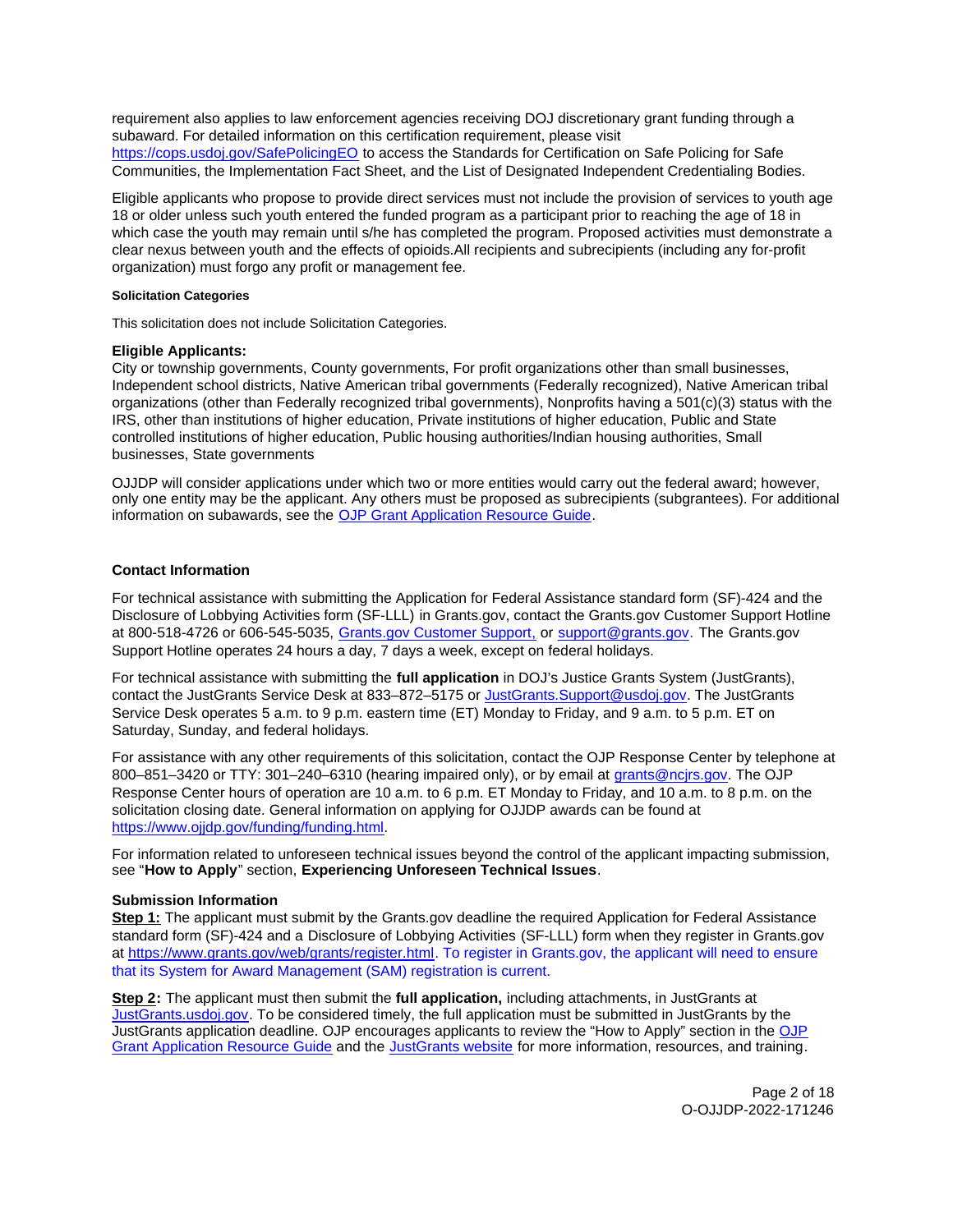<span id="page-1-0"></span>requirement also applies to law enforcement agencies receiving DOJ discretionary grant funding through a subaward. For detailed information on this certification requirement, please visit [https://cops.usdoj.gov/SafePolicingEO](https://cops.usdoj.gov/SafePolicingEO%20) to access the Standards for Certification on Safe Policing for Safe Communities, the Implementation Fact Sheet, and the List of Designated Independent Credentialing Bodies.

Eligible applicants who propose to provide direct services must not include the provision of services to youth age 18 or older unless such youth entered the funded program as a participant prior to reaching the age of 18 in which case the youth may remain until s/he has completed the program. Proposed activities must demonstrate a clear nexus between youth and the effects of opioids.All recipients and subrecipients (including any for-profit organization) must forgo any profit or management fee.

## **Solicitation Categories**

This solicitation does not include Solicitation Categories.

## **Eligible Applicants:**

City or township governments, County governments, For profit organizations other than small businesses, Independent school districts, Native American tribal governments (Federally recognized), Native American tribal organizations (other than Federally recognized tribal governments), Nonprofits having a 501(c)(3) status with the IRS, other than institutions of higher education, Private institutions of higher education, Public and State controlled institutions of higher education, Public housing authorities/Indian housing authorities, Small businesses, State governments

OJJDP will consider applications under which two or more entities would carry out the federal award; however, only one entity may be the applicant. Any others must be proposed as subrecipients (subgrantees). For additional information on subawards, see the [OJP Grant Application Resource Guide.](https://www.ojp.gov/funding/Apply/Resources/Grant-App-Resource-Guide.htm)

## **Contact Information**

For technical assistance with submitting the Application for Federal Assistance standard form (SF)-424 and the Disclosure of Lobbying Activities form (SF-LLL) in [Grants.gov](https://Grants.gov), contact the [Grants.gov](https://Grants.gov) Customer Support Hotline at 800-518-4726 or 606-545-5035, [Grants.gov Customer Support,](https://www.grants.gov/web/grants/support.html) or [support@grants.gov.](mailto:support@grants.gov) The [Grants.gov](https://Grants.gov)  Support Hotline operates 24 hours a day, 7 days a week, except on federal holidays.

For technical assistance with submitting the **full application** in DOJ's Justice Grants System (JustGrants), contact the JustGrants Service Desk at 833–872–5175 or [JustGrants.Support@usdoj.gov.](mailto:JustGrants.Support@usdoj.gov) The JustGrants Service Desk operates 5 a.m. to 9 p.m. eastern time (ET) Monday to Friday, and 9 a.m. to 5 p.m. ET on Saturday, Sunday, and federal holidays.

For assistance with any other requirements of this solicitation, contact the OJP Response Center by telephone at 800–851–3420 or TTY: 301–240–6310 (hearing impaired only), or by email at [grants@ncjrs.gov.](mailto:grants@ncjrs.gov) The OJP Response Center hours of operation are 10 a.m. to 6 p.m. ET Monday to Friday, and 10 a.m. to 8 p.m. on the solicitation closing date. General information on applying for OJJDP awards can be found at [https://www.ojjdp.gov/funding/funding.html.](https://www.ojjdp.gov/funding/funding.html)

For information related to unforeseen technical issues beyond the control of the applicant impacting submission, see "**How to Apply**" section, **Experiencing Unforeseen Technical Issues**.

## **Submission Information**

**Step 1:** The applicant must submit by the [Grants.gov](https://Grants.gov) deadline the required Application for Federal Assistance standard form (SF)-424 and a Disclosure of Lobbying Activities (SF-LLL) form when they register in [Grants.gov](https://Grants.gov)  at [https://www.grants.gov/web/grants/register.html.](https://www.grants.gov/web/grants/register.html) To register in [Grants.gov](https://Grants.gov), the applicant will need to ensure that its System for Award Management (SAM) registration is current.

**Step 2:** The applicant must then submit the **full application,** including attachments, in JustGrants at [JustGrants.usdoj.gov.](https://justicegrants.usdoj.gov/) To be considered timely, the full application must be submitted in JustGrants by the JustGrants application deadline. OJP encourages applicants to review the "How to Apply" section in the [OJP](https://www.ojp.gov/funding/apply/ojp-grant-application-resource-guide#apply)  [Grant Application Resource Guide](https://www.ojp.gov/funding/apply/ojp-grant-application-resource-guide#apply) and the [JustGrants website](https://justicegrants.usdoj.gov/news) for more information, resources, and training.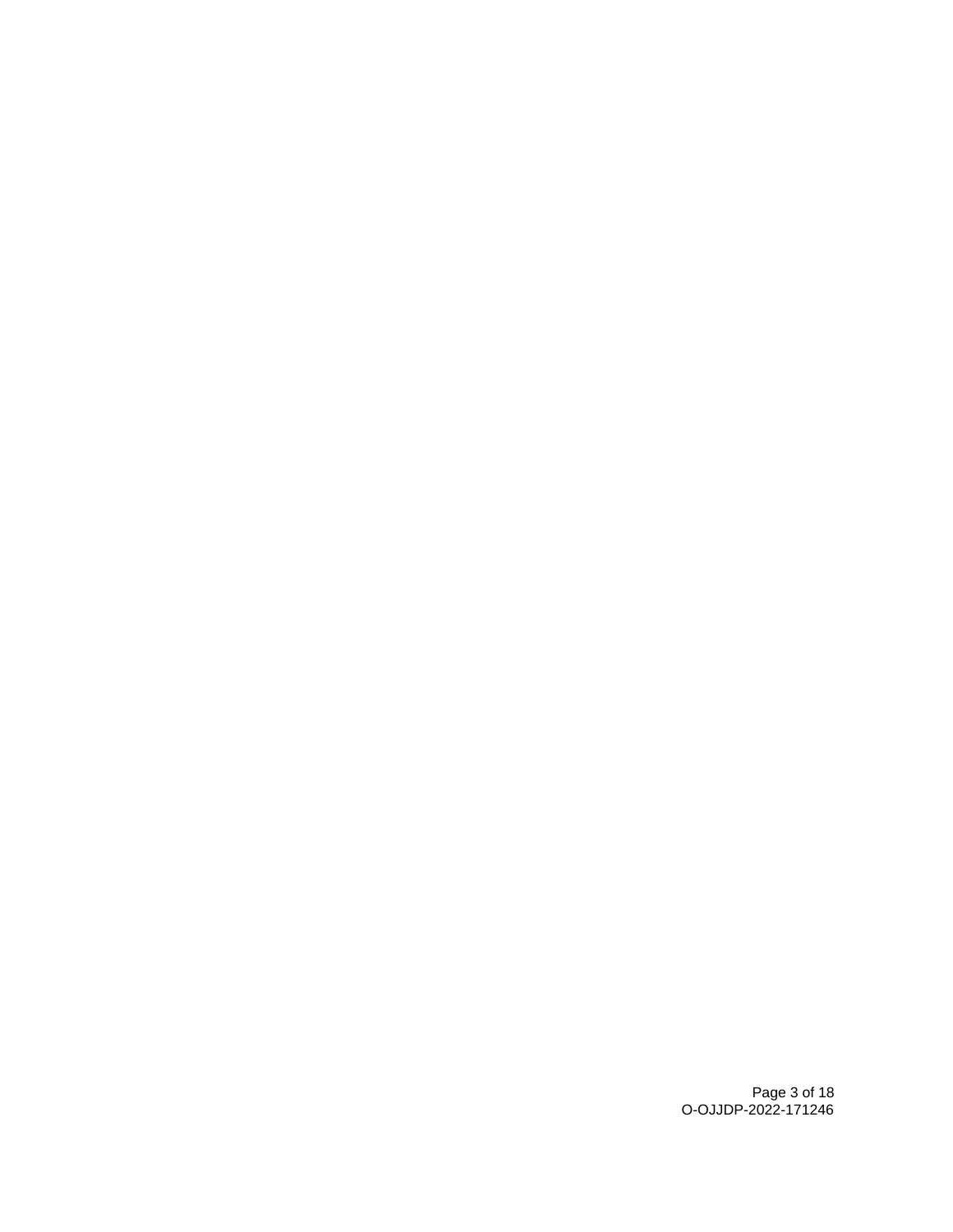Page 3 of 18 O-OJJDP-2022-171246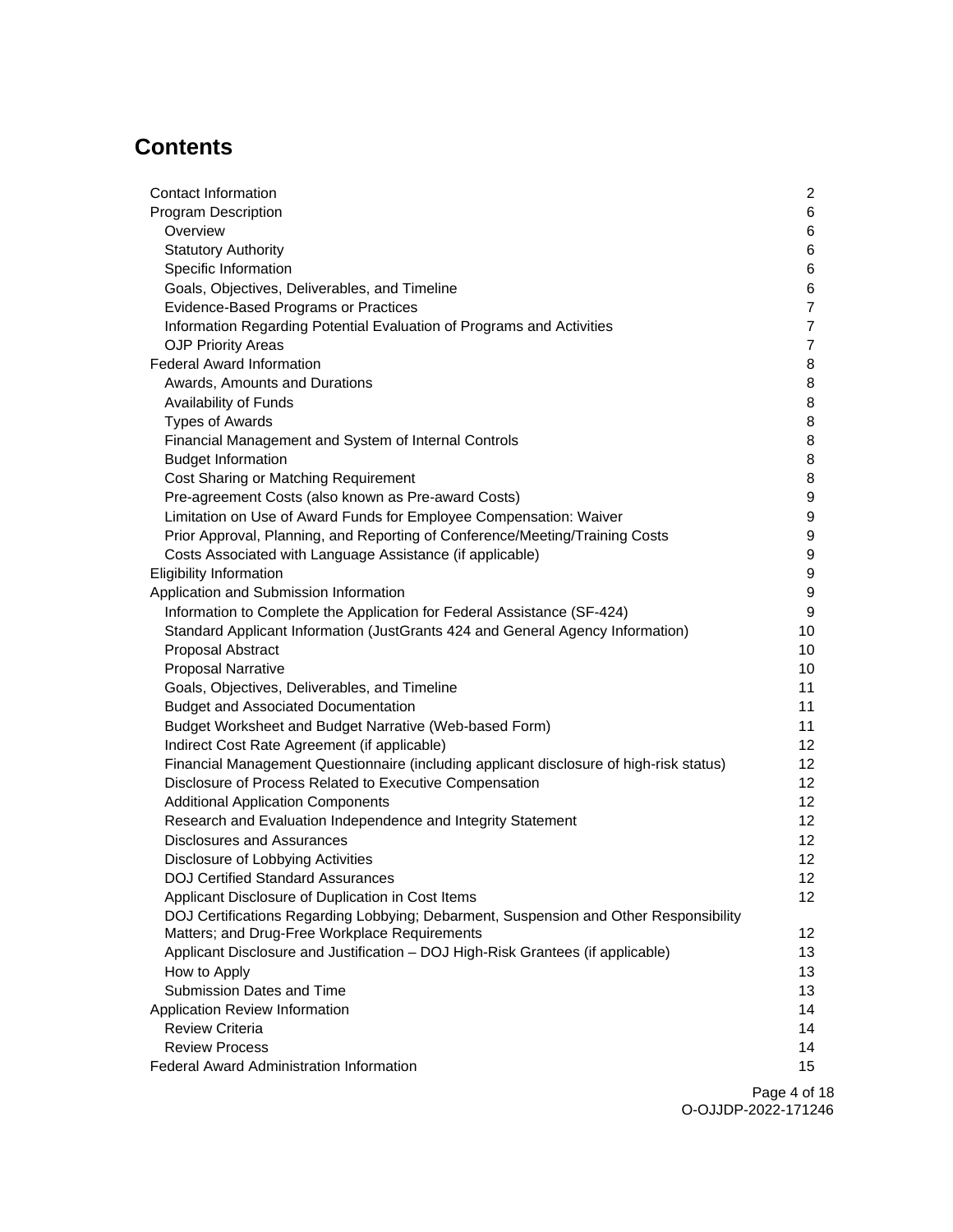# **Contents**

| Contact Information                                                                     | $\overline{2}$  |
|-----------------------------------------------------------------------------------------|-----------------|
| <b>Program Description</b>                                                              | 6               |
| Overview                                                                                | 6               |
| <b>Statutory Authority</b>                                                              | 6               |
| Specific Information                                                                    | 6               |
| Goals, Objectives, Deliverables, and Timeline                                           | 6               |
| Evidence-Based Programs or Practices                                                    | $\overline{7}$  |
| Information Regarding Potential Evaluation of Programs and Activities                   | $\overline{7}$  |
| <b>OJP Priority Areas</b>                                                               | 7               |
| <b>Federal Award Information</b>                                                        | 8               |
| Awards, Amounts and Durations                                                           | 8               |
| Availability of Funds                                                                   | 8               |
| <b>Types of Awards</b>                                                                  | 8               |
| Financial Management and System of Internal Controls                                    | 8               |
| <b>Budget Information</b>                                                               | 8               |
| Cost Sharing or Matching Requirement                                                    | 8               |
| Pre-agreement Costs (also known as Pre-award Costs)                                     | 9               |
| Limitation on Use of Award Funds for Employee Compensation: Waiver                      | 9               |
| Prior Approval, Planning, and Reporting of Conference/Meeting/Training Costs            | 9               |
| Costs Associated with Language Assistance (if applicable)                               | 9               |
| <b>Eligibility Information</b>                                                          | 9               |
| Application and Submission Information                                                  | 9               |
| Information to Complete the Application for Federal Assistance (SF-424)                 | 9               |
| Standard Applicant Information (JustGrants 424 and General Agency Information)          | 10              |
| Proposal Abstract                                                                       | 10              |
| <b>Proposal Narrative</b>                                                               | 10              |
| Goals, Objectives, Deliverables, and Timeline                                           | 11              |
| <b>Budget and Associated Documentation</b>                                              | 11              |
| Budget Worksheet and Budget Narrative (Web-based Form)                                  | 11              |
| Indirect Cost Rate Agreement (if applicable)                                            | 12              |
| Financial Management Questionnaire (including applicant disclosure of high-risk status) | 12              |
| Disclosure of Process Related to Executive Compensation                                 | 12              |
| <b>Additional Application Components</b>                                                | 12              |
| Research and Evaluation Independence and Integrity Statement                            | 12              |
| <b>Disclosures and Assurances</b>                                                       | 12 <sub>2</sub> |
| Disclosure of Lobbying Activities                                                       | 12              |
| DOJ Certified Standard Assurances                                                       | 12              |
| Applicant Disclosure of Duplication in Cost Items                                       | 12              |
| DOJ Certifications Regarding Lobbying; Debarment, Suspension and Other Responsibility   |                 |
| Matters; and Drug-Free Workplace Requirements                                           | 12              |
| Applicant Disclosure and Justification - DOJ High-Risk Grantees (if applicable)         | 13              |
| How to Apply                                                                            | 13              |
| Submission Dates and Time                                                               | 13              |
| Application Review Information                                                          | 14              |
| <b>Review Criteria</b>                                                                  | 14              |
| <b>Review Process</b>                                                                   | 14              |
| <b>Federal Award Administration Information</b>                                         | 15              |
|                                                                                         |                 |

Page 4 of 18 O-OJJDP-2022-171246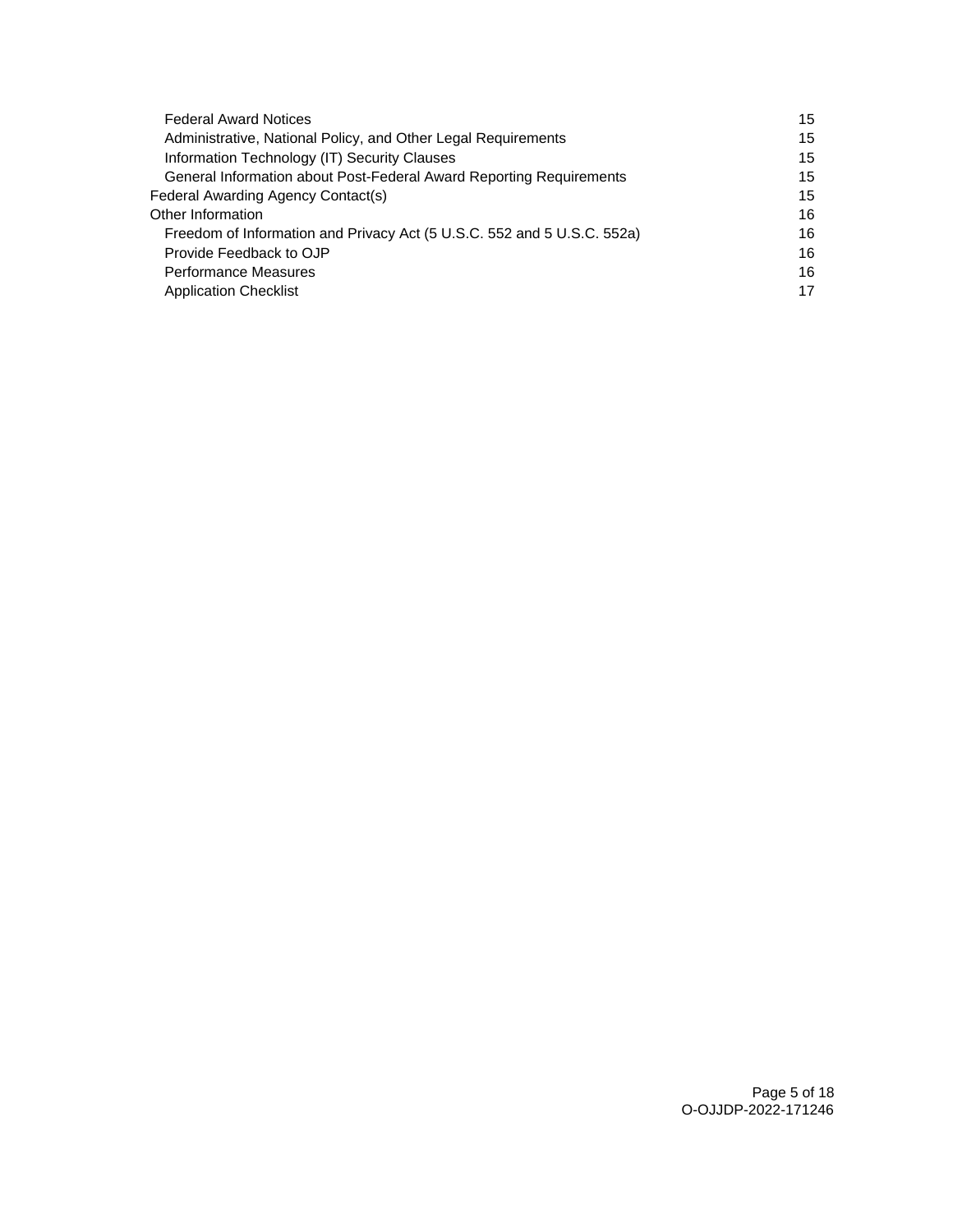| <b>Federal Award Notices</b>                                            |    |
|-------------------------------------------------------------------------|----|
| Administrative, National Policy, and Other Legal Requirements           | 15 |
| Information Technology (IT) Security Clauses                            | 15 |
| General Information about Post-Federal Award Reporting Requirements     | 15 |
| Federal Awarding Agency Contact(s)                                      | 15 |
| Other Information                                                       | 16 |
| Freedom of Information and Privacy Act (5 U.S.C. 552 and 5 U.S.C. 552a) | 16 |
| Provide Feedback to OJP                                                 | 16 |
| Performance Measures                                                    | 16 |
| <b>Application Checklist</b>                                            | 17 |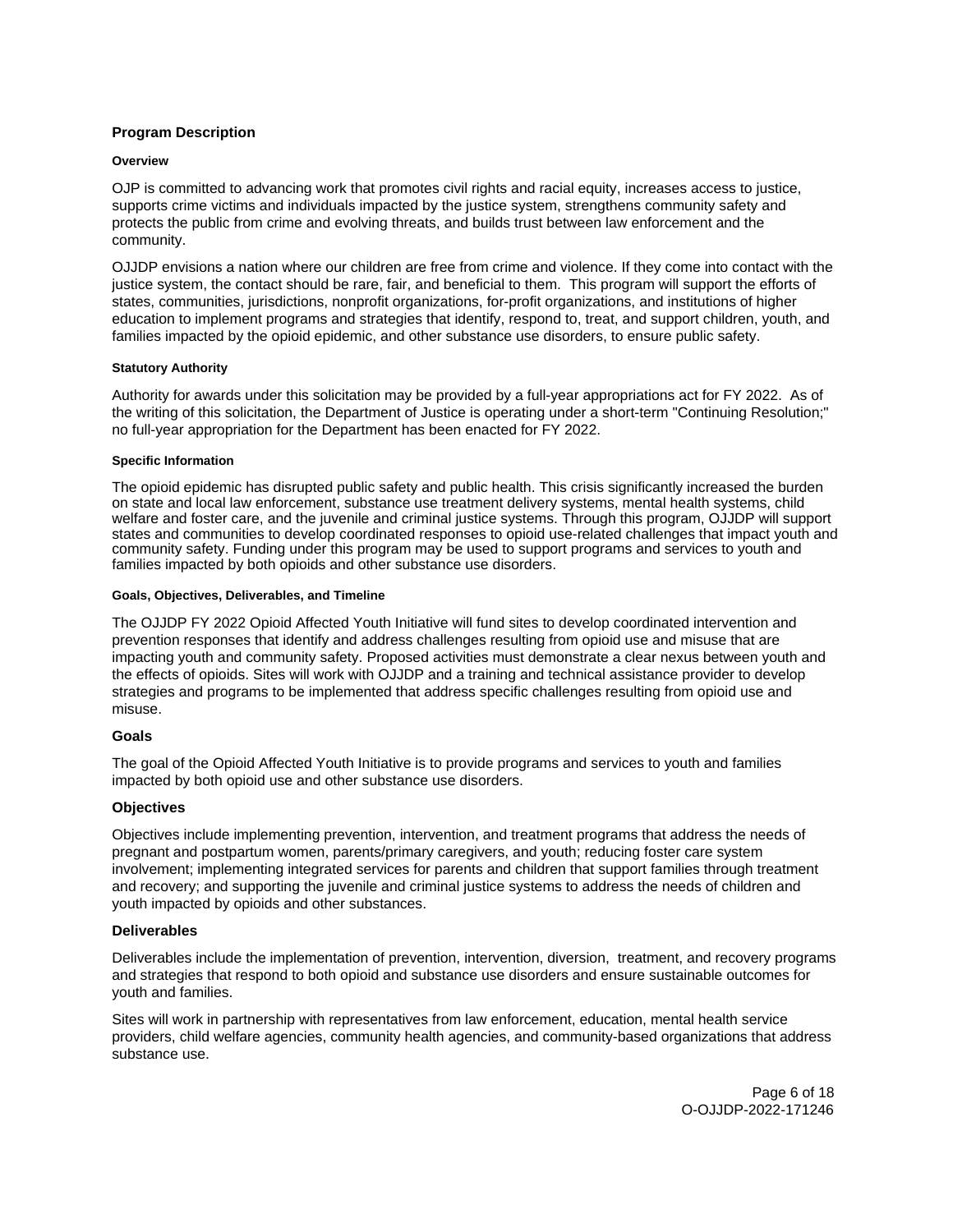## <span id="page-5-0"></span>**Program Description**

#### **Overview**

OJP is committed to advancing work that promotes civil rights and racial equity, increases access to justice, supports crime victims and individuals impacted by the justice system, strengthens community safety and protects the public from crime and evolving threats, and builds trust between law enforcement and the community.

OJJDP envisions a nation where our children are free from crime and violence. If they come into contact with the justice system, the contact should be rare, fair, and beneficial to them. This program will support the efforts of states, communities, jurisdictions, nonprofit organizations, for-profit organizations, and institutions of higher education to implement programs and strategies that identify, respond to, treat, and support children, youth, and families impacted by the opioid epidemic, and other substance use disorders, to ensure public safety.

## **Statutory Authority**

Authority for awards under this solicitation may be provided by a full-year appropriations act for FY 2022. As of the writing of this solicitation, the Department of Justice is operating under a short-term "Continuing Resolution;" no full-year appropriation for the Department has been enacted for FY 2022.

#### **Specific Information**

The opioid epidemic has disrupted public safety and public health. This crisis significantly increased the burden on state and local law enforcement, substance use treatment delivery systems, mental health systems, child welfare and foster care, and the juvenile and criminal justice systems. Through this program, OJJDP will support states and communities to develop coordinated responses to opioid use-related challenges that impact youth and community safety. Funding under this program may be used to support programs and services to youth and families impacted by both opioids and other substance use disorders.

## **Goals, Objectives, Deliverables, and Timeline**

The OJJDP FY 2022 Opioid Affected Youth Initiative will fund sites to develop coordinated intervention and prevention responses that identify and address challenges resulting from opioid use and misuse that are impacting youth and community safety. Proposed activities must demonstrate a clear nexus between youth and the effects of opioids. Sites will work with OJJDP and a training and technical assistance provider to develop strategies and programs to be implemented that address specific challenges resulting from opioid use and misuse.

## **Goals**

The goal of the Opioid Affected Youth Initiative is to provide programs and services to youth and families impacted by both opioid use and other substance use disorders.

## **Objectives**

Objectives include implementing prevention, intervention, and treatment programs that address the needs of pregnant and postpartum women, parents/primary caregivers, and youth; reducing foster care system involvement; implementing integrated services for parents and children that support families through treatment and recovery; and supporting the juvenile and criminal justice systems to address the needs of children and youth impacted by opioids and other substances.

## **Deliverables**

Deliverables include the implementation of prevention, intervention, diversion, treatment, and recovery programs and strategies that respond to both opioid and substance use disorders and ensure sustainable outcomes for youth and families.

Sites will work in partnership with representatives from law enforcement, education, mental health service providers, child welfare agencies, community health agencies, and community-based organizations that address substance use.

> Page 6 of 18 O-OJJDP-2022-171246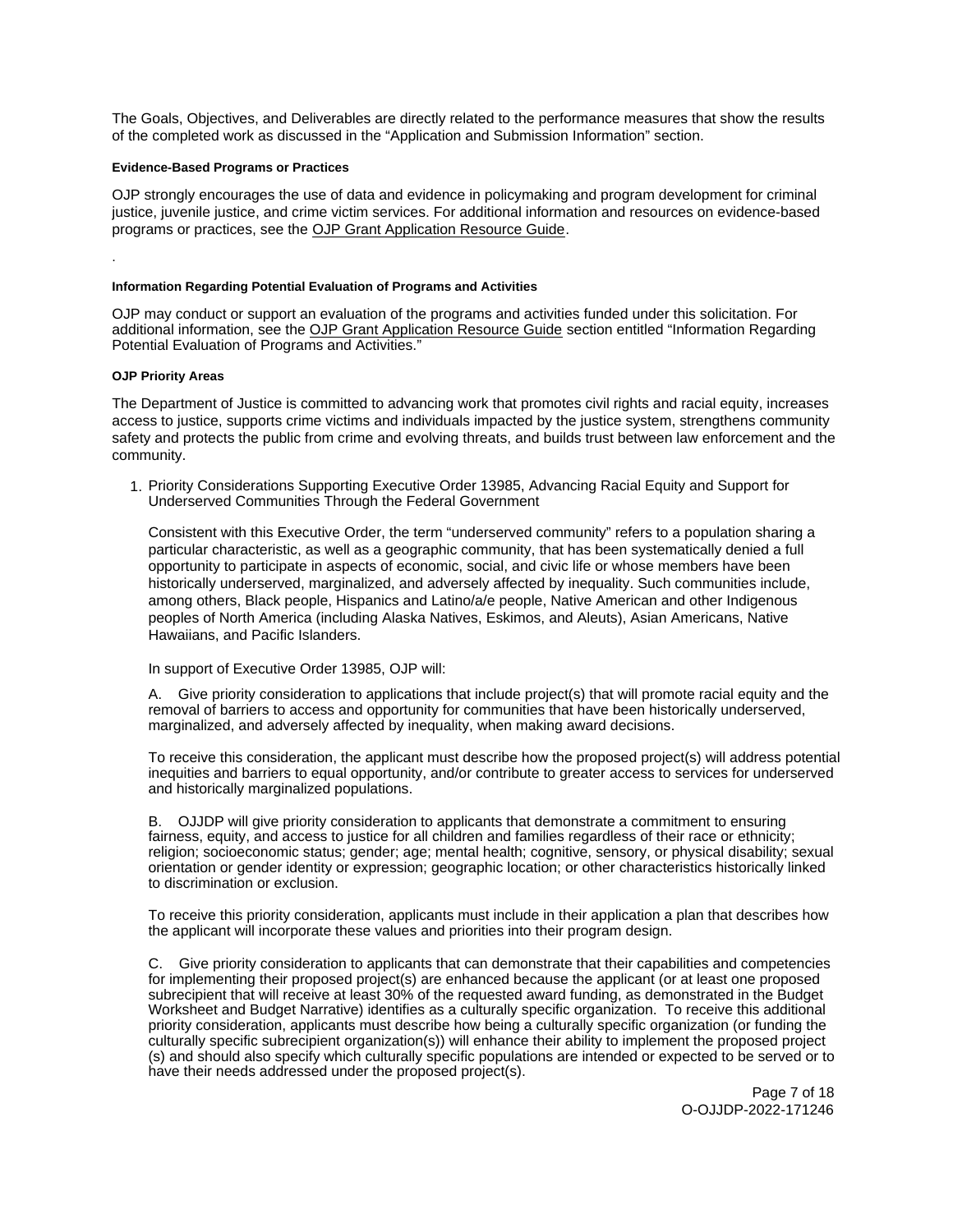<span id="page-6-0"></span>The Goals, Objectives, and Deliverables are directly related to the performance measures that show the results of the completed work as discussed in the "Application and Submission Information" section.

#### **Evidence-Based Programs or Practices**

OJP strongly encourages the use of data and evidence in policymaking and program development for criminal justice, juvenile justice, and crime victim services. For additional information and resources on evidence-based programs or practices, see the [OJP Grant Application Resource Guide.](https://www.ojp.gov/funding/Apply/Resources/Grant-App-Resource-Guide.htm)

#### **Information Regarding Potential Evaluation of Programs and Activities**

OJP may conduct or support an evaluation of the programs and activities funded under this solicitation. For additional information, see the [OJP Grant Application Resource Guide](https://www.ojp.gov/funding/apply/ojp-grant-application-resource-guide#potential-evaluation) section entitled "Information Regarding Potential Evaluation of Programs and Activities."

#### **OJP Priority Areas**

.

The Department of Justice is committed to advancing work that promotes civil rights and racial equity, increases access to justice, supports crime victims and individuals impacted by the justice system, strengthens community safety and protects the public from crime and evolving threats, and builds trust between law enforcement and the community.

1. Priority Considerations Supporting Executive Order 13985, Advancing Racial Equity and Support for Underserved Communities Through the Federal Government

Consistent with this Executive Order, the term "underserved community" refers to a population sharing a particular characteristic, as well as a geographic community, that has been systematically denied a full opportunity to participate in aspects of economic, social, and civic life or whose members have been historically underserved, marginalized, and adversely affected by inequality. Such communities include, among others, Black people, Hispanics and Latino/a/e people, Native American and other Indigenous peoples of North America (including Alaska Natives, Eskimos, and Aleuts), Asian Americans, Native Hawaiians, and Pacific Islanders.

In support of Executive Order 13985, OJP will:

A. Give priority consideration to applications that include project(s) that will promote racial equity and the removal of barriers to access and opportunity for communities that have been historically underserved, marginalized, and adversely affected by inequality, when making award decisions.

To receive this consideration, the applicant must describe how the proposed project(s) will address potential inequities and barriers to equal opportunity, and/or contribute to greater access to services for underserved and historically marginalized populations.

B. OJJDP will give priority consideration to applicants that demonstrate a commitment to ensuring fairness, equity, and access to justice for all children and families regardless of their race or ethnicity; religion; socioeconomic status; gender; age; mental health; cognitive, sensory, or physical disability; sexual orientation or gender identity or expression; geographic location; or other characteristics historically linked to discrimination or exclusion.

To receive this priority consideration, applicants must include in their application a plan that describes how the applicant will incorporate these values and priorities into their program design.

C. Give priority consideration to applicants that can demonstrate that their capabilities and competencies for implementing their proposed project(s) are enhanced because the applicant (or at least one proposed subrecipient that will receive at least 30% of the requested award funding, as demonstrated in the Budget Worksheet and Budget Narrative) identifies as a culturally specific organization. To receive this additional priority consideration, applicants must describe how being a culturally specific organization (or funding the culturally specific subrecipient organization(s)) will enhance their ability to implement the proposed project (s) and should also specify which culturally specific populations are intended or expected to be served or to have their needs addressed under the proposed project(s).

> Page 7 of 18 O-OJJDP-2022-171246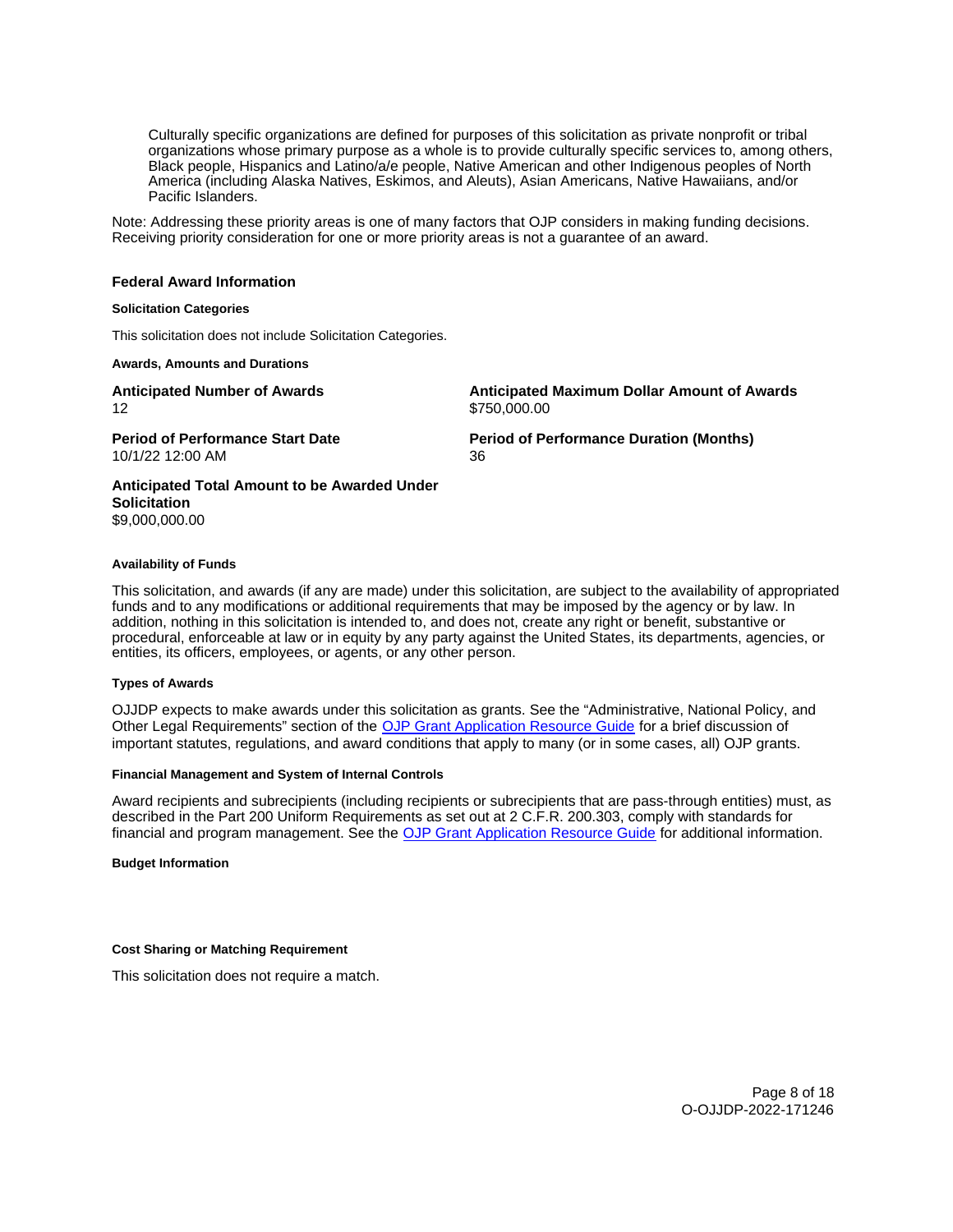<span id="page-7-0"></span>Culturally specific organizations are defined for purposes of this solicitation as private nonprofit or tribal organizations whose primary purpose as a whole is to provide culturally specific services to, among others, Black people, Hispanics and Latino/a/e people, Native American and other Indigenous peoples of North America (including Alaska Natives, Eskimos, and Aleuts), Asian Americans, Native Hawaiians, and/or Pacific Islanders.

Note: Addressing these priority areas is one of many factors that OJP considers in making funding decisions. Receiving priority consideration for one or more priority areas is not a guarantee of an award.

#### **Federal Award Information**

#### **Solicitation Categories**

This solicitation does not include Solicitation Categories.

#### **Awards, Amounts and Durations**

12 \$750,000.00

**Anticipated Number of Awards Anticipated Maximum Dollar Amount of Awards** 

10/1/22 12:00 AM 36

**Period of Performance Start Date**  Period of Performance Duration (Months)

**Anticipated Total Amount to be Awarded Under Solicitation**  \$9,000,000.00

#### **Availability of Funds**

This solicitation, and awards (if any are made) under this solicitation, are subject to the availability of appropriated funds and to any modifications or additional requirements that may be imposed by the agency or by law. In addition, nothing in this solicitation is intended to, and does not, create any right or benefit, substantive or procedural, enforceable at law or in equity by any party against the United States, its departments, agencies, or entities, its officers, employees, or agents, or any other person.

## **Types of Awards**

OJJDP expects to make awards under this solicitation as grants. See the "Administrative, National Policy, and Other Legal Requirements" section of the [OJP Grant Application Resource Guide](https://ojp.gov/funding/Apply/Resources/Grant-App-Resource-Guide.htm) for a brief discussion of important statutes, regulations, and award conditions that apply to many (or in some cases, all) OJP grants.

#### **Financial Management and System of Internal Controls**

Award recipients and subrecipients (including recipients or subrecipients that are pass-through entities) must, as described in the Part 200 Uniform Requirements as set out at 2 C.F.R. 200.303, comply with standards for financial and program management. See the [OJP Grant Application Resource Guide](https://www.ojp.gov/funding/apply/ojp-grant-application-resource-guide#fm-internal-controls) for additional information.

**Budget Information** 

## **Cost Sharing or Matching Requirement**

This solicitation does not require a match.

Page 8 of 18 O-OJJDP-2022-171246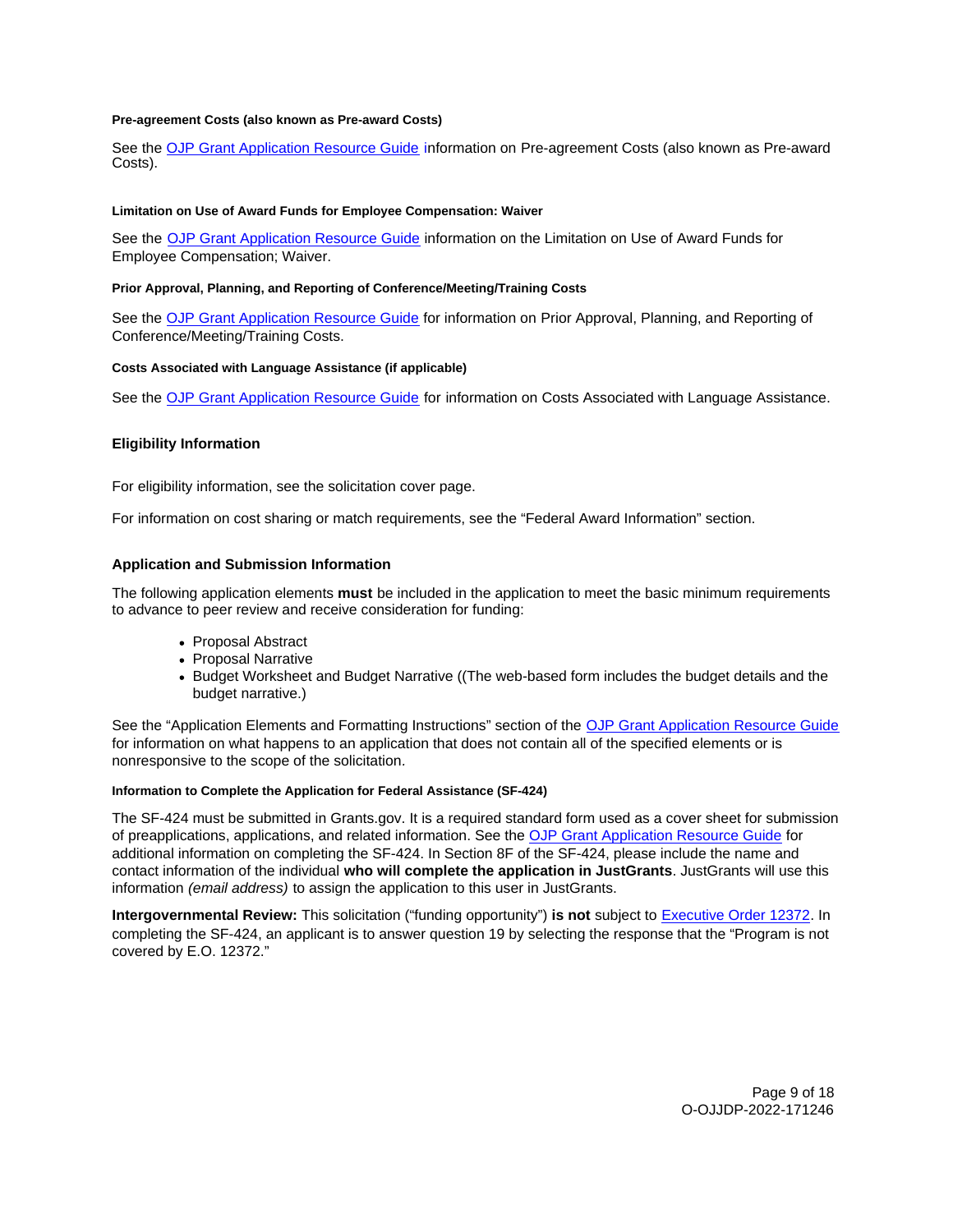#### <span id="page-8-0"></span>**Pre-agreement Costs (also known as Pre-award Costs)**

See the [OJP Grant Application Resource Guide](https://www.ojp.gov/funding/apply/ojp-grant-application-resource-guide#pre-agreement-costs) information on Pre-agreement Costs (also known as Pre-award Costs).

#### **Limitation on Use of Award Funds for Employee Compensation: Waiver**

See the [OJP Grant Application Resource Guide](https://www.ojp.gov/funding/apply/ojp-grant-application-resource-guide#limitation-use-award) information on the Limitation on Use of Award Funds for Employee Compensation; Waiver.

#### **Prior Approval, Planning, and Reporting of Conference/Meeting/Training Costs**

See the [OJP Grant Application Resource Guide](https://www.ojp.gov/funding/apply/ojp-grant-application-resource-guide#prior-approval) for information on Prior Approval, Planning, and Reporting of Conference/Meeting/Training Costs.

## **Costs Associated with Language Assistance (if applicable)**

See the [OJP Grant Application Resource Guide](https://www.ojp.gov/funding/apply/ojp-grant-application-resource-guide#costs-associated) for information on Costs Associated with Language Assistance.

## **Eligibility Information**

For eligibility information, see the solicitation cover page.

For information on cost sharing or match requirements, see the "Federal Award Information" section.

#### **Application and Submission Information**

The following application elements **must** be included in the application to meet the basic minimum requirements to advance to peer review and receive consideration for funding:

- Proposal Abstract
- Proposal Narrative
- Budget Worksheet and Budget Narrative ((The web-based form includes the budget details and the budget narrative.)

See the "Application Elements and Formatting Instructions" section of the OJP Grant Application Resource Guide for information on what happens to an application that does not contain all of the specified elements or is nonresponsive to the scope of the solicitation.

#### **Information to Complete the Application for Federal Assistance (SF-424)**

The SF-424 must be submitted in [Grants.gov](https://Grants.gov). It is a required standard form used as a cover sheet for submission of preapplications, applications, and related information. See the [OJP Grant Application Resource Guide](https://www.ojp.gov/funding/Apply/Resources/Grant-App-Resource-Guide.htm) for additional information on completing the SF-424. In Section 8F of the SF-424, please include the name and contact information of the individual **who will complete the application in JustGrants**. JustGrants will use this information (email address) to assign the application to this user in JustGrants.

**Intergovernmental Review:** This solicitation ("funding opportunity") **is not** subject to [Executive Order 12372.](https://www.archives.gov/federal-register/codification/executive-order/12372.html) In completing the SF-424, an applicant is to answer question 19 by selecting the response that the "Program is not covered by E.O. 12372."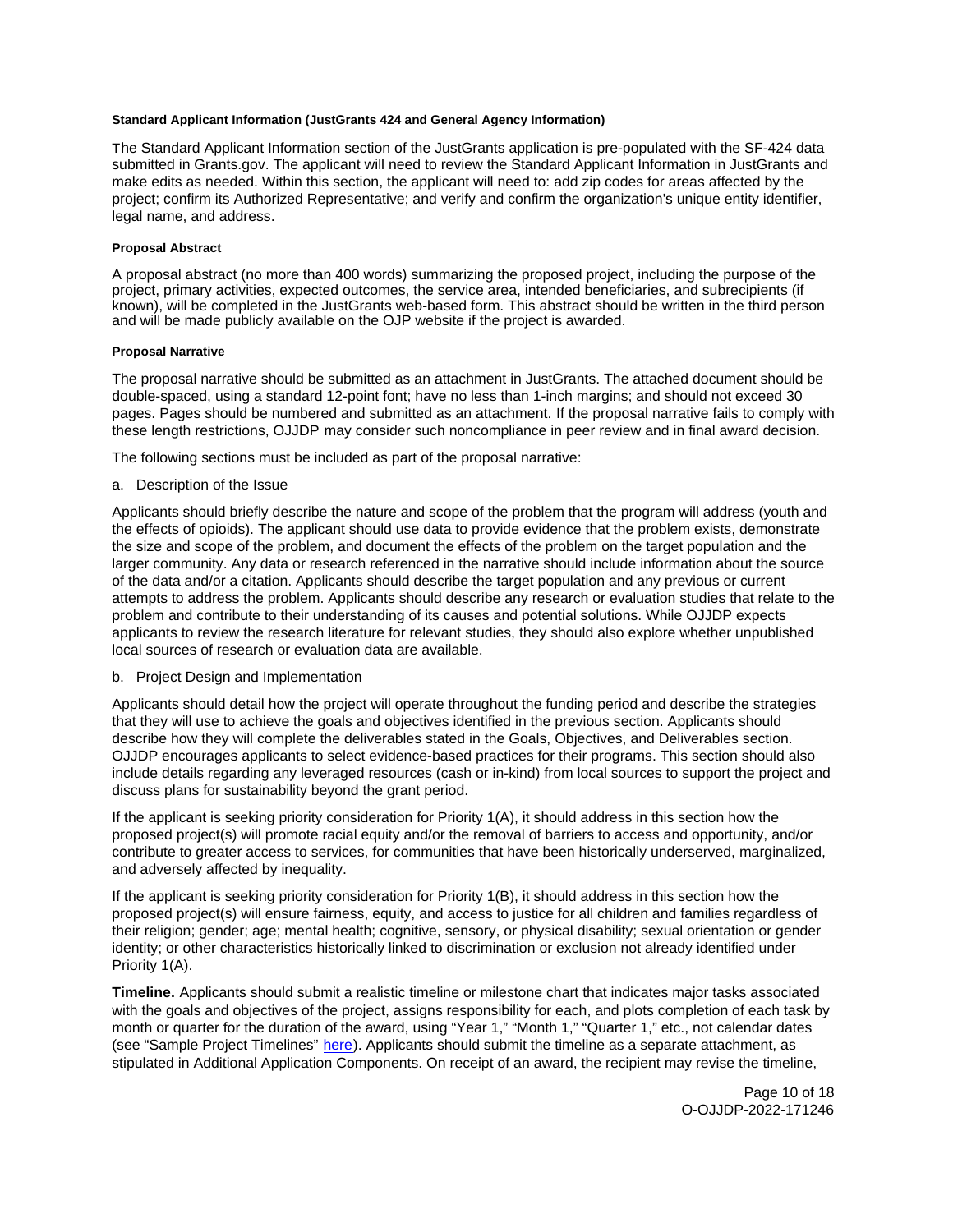#### <span id="page-9-0"></span>**Standard Applicant Information (JustGrants 424 and General Agency Information)**

The Standard Applicant Information section of the JustGrants application is pre-populated with the SF-424 data submitted in [Grants.gov.](https://Grants.gov) The applicant will need to review the Standard Applicant Information in JustGrants and make edits as needed. Within this section, the applicant will need to: add zip codes for areas affected by the project; confirm its Authorized Representative; and verify and confirm the organization's unique entity identifier, legal name, and address.

## **Proposal Abstract**

A proposal abstract (no more than 400 words) summarizing the proposed project, including the purpose of the project, primary activities, expected outcomes, the service area, intended beneficiaries, and subrecipients (if known), will be completed in the JustGrants web-based form. This abstract should be written in the third person and will be made publicly available on the OJP website if the project is awarded.

#### **Proposal Narrative**

The proposal narrative should be submitted as an attachment in JustGrants. The attached document should be double-spaced, using a standard 12-point font; have no less than 1-inch margins; and should not exceed 30 pages. Pages should be numbered and submitted as an attachment. If the proposal narrative fails to comply with these length restrictions, OJJDP may consider such noncompliance in peer review and in final award decision.

The following sections must be included as part of the proposal narrative:

a. Description of the Issue

Applicants should briefly describe the nature and scope of the problem that the program will address (youth and the effects of opioids). The applicant should use data to provide evidence that the problem exists, demonstrate the size and scope of the problem, and document the effects of the problem on the target population and the larger community. Any data or research referenced in the narrative should include information about the source of the data and/or a citation. Applicants should describe the target population and any previous or current attempts to address the problem. Applicants should describe any research or evaluation studies that relate to the problem and contribute to their understanding of its causes and potential solutions. While OJJDP expects applicants to review the research literature for relevant studies, they should also explore whether unpublished local sources of research or evaluation data are available.

## b. Project Design and Implementation

Applicants should detail how the project will operate throughout the funding period and describe the strategies that they will use to achieve the goals and objectives identified in the previous section. Applicants should describe how they will complete the deliverables stated in the Goals, Objectives, and Deliverables section. OJJDP encourages applicants to select evidence-based practices for their programs. This section should also include details regarding any leveraged resources (cash or in-kind) from local sources to support the project and discuss plans for sustainability beyond the grant period.

If the applicant is seeking priority consideration for Priority 1(A), it should address in this section how the proposed project(s) will promote racial equity and/or the removal of barriers to access and opportunity, and/or contribute to greater access to services, for communities that have been historically underserved, marginalized, and adversely affected by inequality.

If the applicant is seeking priority consideration for Priority 1(B), it should address in this section how the proposed project(s) will ensure fairness, equity, and access to justice for all children and families regardless of their religion; gender; age; mental health; cognitive, sensory, or physical disability; sexual orientation or gender identity; or other characteristics historically linked to discrimination or exclusion not already identified under Priority 1(A).

**Timeline.** Applicants should submit a realistic timeline or milestone chart that indicates major tasks associated with the goals and objectives of the project, assigns responsibility for each, and plots completion of each task by month or quarter for the duration of the award, using "Year 1," "Month 1," "Quarter 1," etc., not calendar dates (see "Sample Project Timelines" [here\)](https://ojjdp.ojp.gov/funding/ojjdp-sample-timelines). Applicants should submit the timeline as a separate attachment, as stipulated in Additional Application Components. On receipt of an award, the recipient may revise the timeline,

> Page 10 of 18 O-OJJDP-2022-171246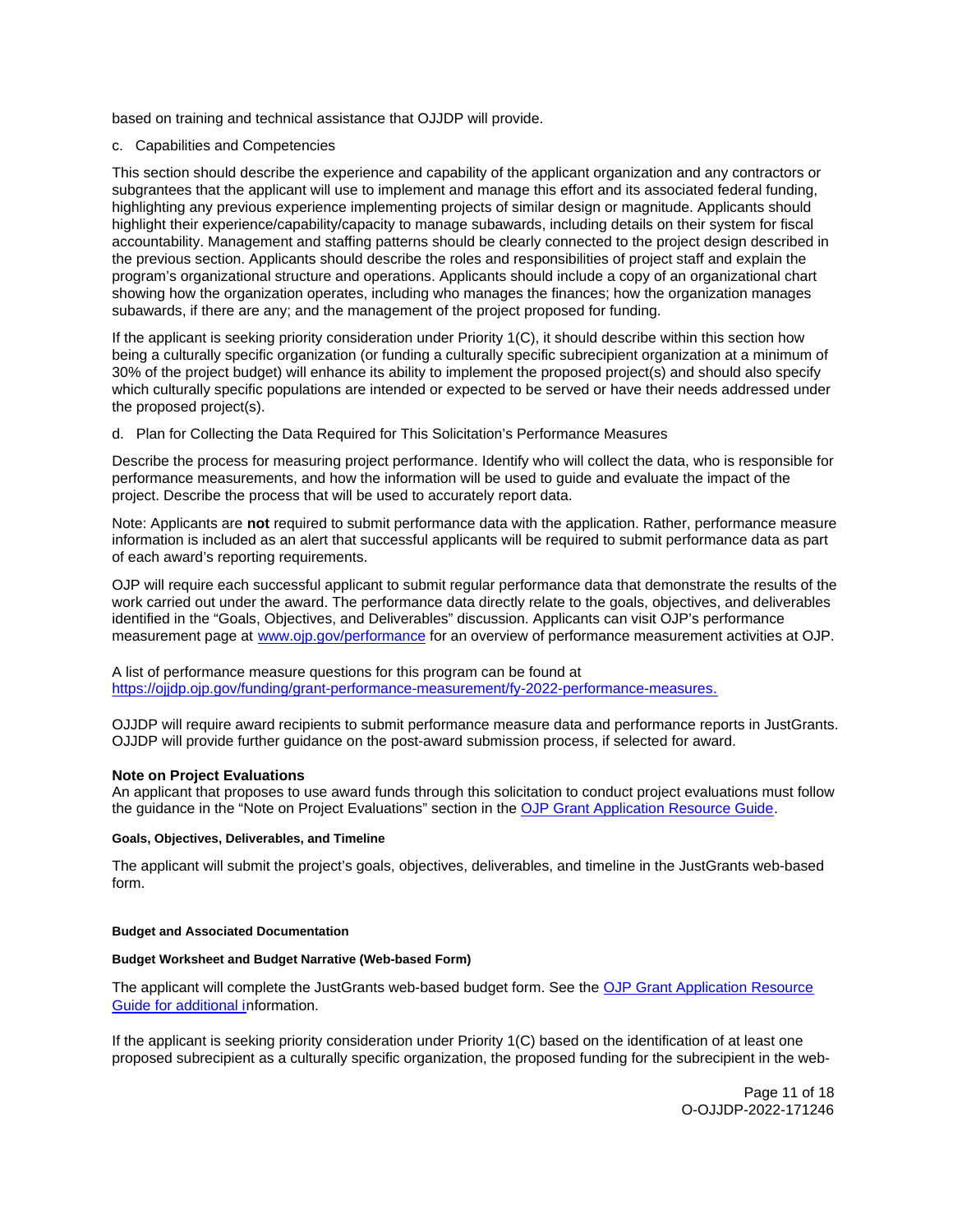<span id="page-10-0"></span>based on training and technical assistance that OJJDP will provide.

## c. Capabilities and Competencies

This section should describe the experience and capability of the applicant organization and any contractors or subgrantees that the applicant will use to implement and manage this effort and its associated federal funding, highlighting any previous experience implementing projects of similar design or magnitude. Applicants should highlight their experience/capability/capacity to manage subawards, including details on their system for fiscal accountability. Management and staffing patterns should be clearly connected to the project design described in the previous section. Applicants should describe the roles and responsibilities of project staff and explain the program's organizational structure and operations. Applicants should include a copy of an organizational chart showing how the organization operates, including who manages the finances; how the organization manages subawards, if there are any; and the management of the project proposed for funding.

If the applicant is seeking priority consideration under Priority 1(C), it should describe within this section how being a culturally specific organization (or funding a culturally specific subrecipient organization at a minimum of 30% of the project budget) will enhance its ability to implement the proposed project(s) and should also specify which culturally specific populations are intended or expected to be served or have their needs addressed under the proposed project(s).

d. Plan for Collecting the Data Required for This Solicitation's Performance Measures

Describe the process for measuring project performance. Identify who will collect the data, who is responsible for performance measurements, and how the information will be used to guide and evaluate the impact of the project. Describe the process that will be used to accurately report data.

Note: Applicants are **not** required to submit performance data with the application. Rather, performance measure information is included as an alert that successful applicants will be required to submit performance data as part of each award's reporting requirements.

OJP will require each successful applicant to submit regular performance data that demonstrate the results of the work carried out under the award. The performance data directly relate to the goals, objectives, and deliverables identified in the "Goals, Objectives, and Deliverables" discussion. Applicants can visit OJP's performance measurement page at [www.ojp.gov/performance](https://www.ojp.gov/performance) for an overview of performance measurement activities at OJP.

A list of performance measure questions for this program can be found at https://ojidp.ojp.gov/funding/grant-performance-measurement/fy-2022-performance-measures.

OJJDP will require award recipients to submit performance measure data and performance reports in JustGrants. OJJDP will provide further guidance on the post-award submission process, if selected for award.

#### **Note on Project Evaluations**

An applicant that proposes to use award funds through this solicitation to conduct project evaluations must follow the guidance in the "Note on Project Evaluations" section in the [OJP Grant Application Resource Guide.](https://www.ojp.gov/funding/Apply/Resources/Grant-App-Resource-Guide.htm)

#### **Goals, Objectives, Deliverables, and Timeline**

The applicant will submit the project's goals, objectives, deliverables, and timeline in the JustGrants web-based form.

## **Budget and Associated Documentation**

## **Budget Worksheet and Budget Narrative (Web-based Form)**

The applicant will complete the JustGrants web-based budget form. See the [OJP Grant Application Resource](https://ojp.gov/funding/Apply/Resources/Grant-App-Resource-Guide.htm)  [Guide](https://ojp.gov/funding/Apply/Resources/Grant-App-Resource-Guide.htm) for additional information.

If the applicant is seeking priority consideration under Priority 1(C) based on the identification of at least one proposed subrecipient as a culturally specific organization, the proposed funding for the subrecipient in the web-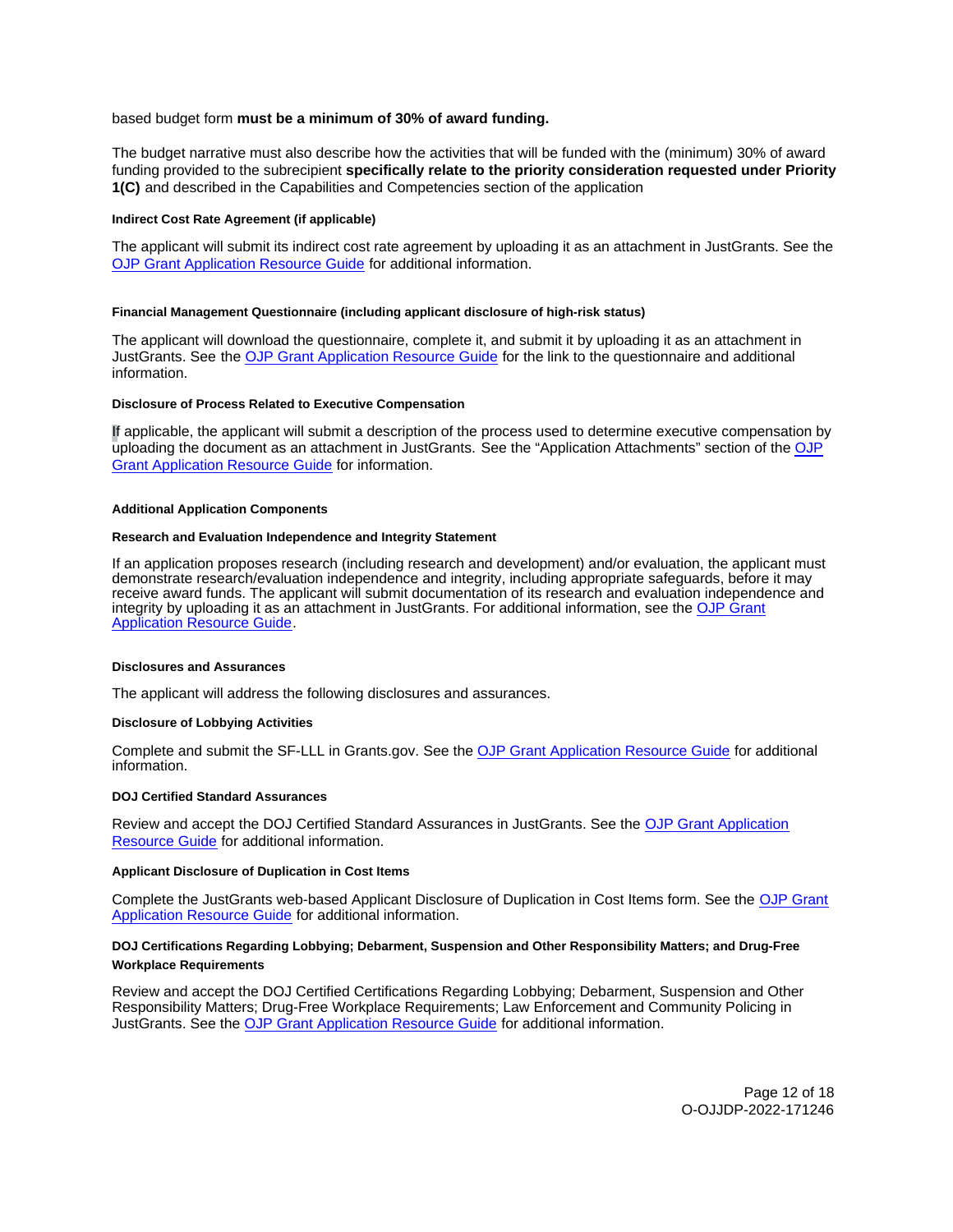## <span id="page-11-0"></span>based budget form **must be a minimum of 30% of award funding.**

The budget narrative must also describe how the activities that will be funded with the (minimum) 30% of award funding provided to the subrecipient **specifically relate to the priority consideration requested under Priority 1(C)** and described in the Capabilities and Competencies section of the application

#### **Indirect Cost Rate Agreement (if applicable)**

The applicant will submit its indirect cost rate agreement by uploading it as an attachment in JustGrants. See the [OJP Grant Application Resource Guide](https://www.ojp.gov/funding/apply/ojp-grant-application-resource-guide#indirect-cost) for additional information.

#### **Financial Management Questionnaire (including applicant disclosure of high-risk status)**

The applicant will download the questionnaire, complete it, and submit it by uploading it as an attachment in JustGrants. See the [OJP Grant Application Resource Guide f](https://www.ojp.gov/funding/apply/ojp-grant-application-resource-guide#fm-internal-controls-questionnaire)or the link to the questionnaire and additional information.

#### **Disclosure of Process Related to Executive Compensation**

If applicable, the applicant will submit a description of the process used to determine executive compensation by uploading the document as an attachment in JustGrants. See the "Application Attachments" section of the [OJP](https://www.ojp.gov/funding/apply/ojp-grant-application-resource-guide#disclosure-process-executive) [Grant Application Resource Guide](https://www.ojp.gov/funding/apply/ojp-grant-application-resource-guide#disclosure-process-executive) for information.

#### **Additional Application Components**

#### **Research and Evaluation Independence and Integrity Statement**

If an application proposes research (including research and development) and/or evaluation, the applicant must demonstrate research/evaluation independence and integrity, including appropriate safeguards, before it may receive award funds. The applicant will submit documentation of its research and evaluation independence and integrity by uploading it as an attachment in JustGrants. For additional information, see the [OJP Grant](https://www.ojp.gov/funding/apply/ojp-grant-application-resource-guide#research-evaluation)  [Application Resource Guide.](https://www.ojp.gov/funding/apply/ojp-grant-application-resource-guide#research-evaluation) 

#### **Disclosures and Assurances**

The applicant will address the following disclosures and assurances.

#### **Disclosure of Lobbying Activities**

Complete and submit the SF-LLL in [Grants.gov.](https://Grants.gov) See the [OJP Grant Application Resource Guide](https://www.ojp.gov/funding/apply/ojp-grant-application-resource-guide#disclosure-lobby) for additional information.

#### **DOJ Certified Standard Assurances**

Review and accept the DOJ Certified Standard Assurances in JustGrants. See the [OJP Grant Application](https://www.ojp.gov/funding/apply/ojp-grant-application-resource-guide#administrative)  [Resource Guide](https://www.ojp.gov/funding/apply/ojp-grant-application-resource-guide#administrative) for additional information.

#### **Applicant Disclosure of Duplication in Cost Items**

Complete the JustGrants web-based Applicant Disclosure of Duplication in Cost Items form. See the [OJP Grant](https://www.ojp.gov/funding/apply/ojp-grant-application-resource-guide#applicant-disclosure-pending-applications) [Application Resource Guide](https://www.ojp.gov/funding/apply/ojp-grant-application-resource-guide#applicant-disclosure-pending-applications) for additional information.

## **DOJ Certifications Regarding Lobbying; Debarment, Suspension and Other Responsibility Matters; and Drug-Free Workplace Requirements**

Review and accept the DOJ Certified Certifications Regarding Lobbying; Debarment, Suspension and Other Responsibility Matters; Drug-Free Workplace Requirements; Law Enforcement and Community Policing in JustGrants. See the [OJP Grant Application Resource Guide](https://www.ojp.gov/funding/apply/ojp-grant-application-resource-guide#administrative) for additional information.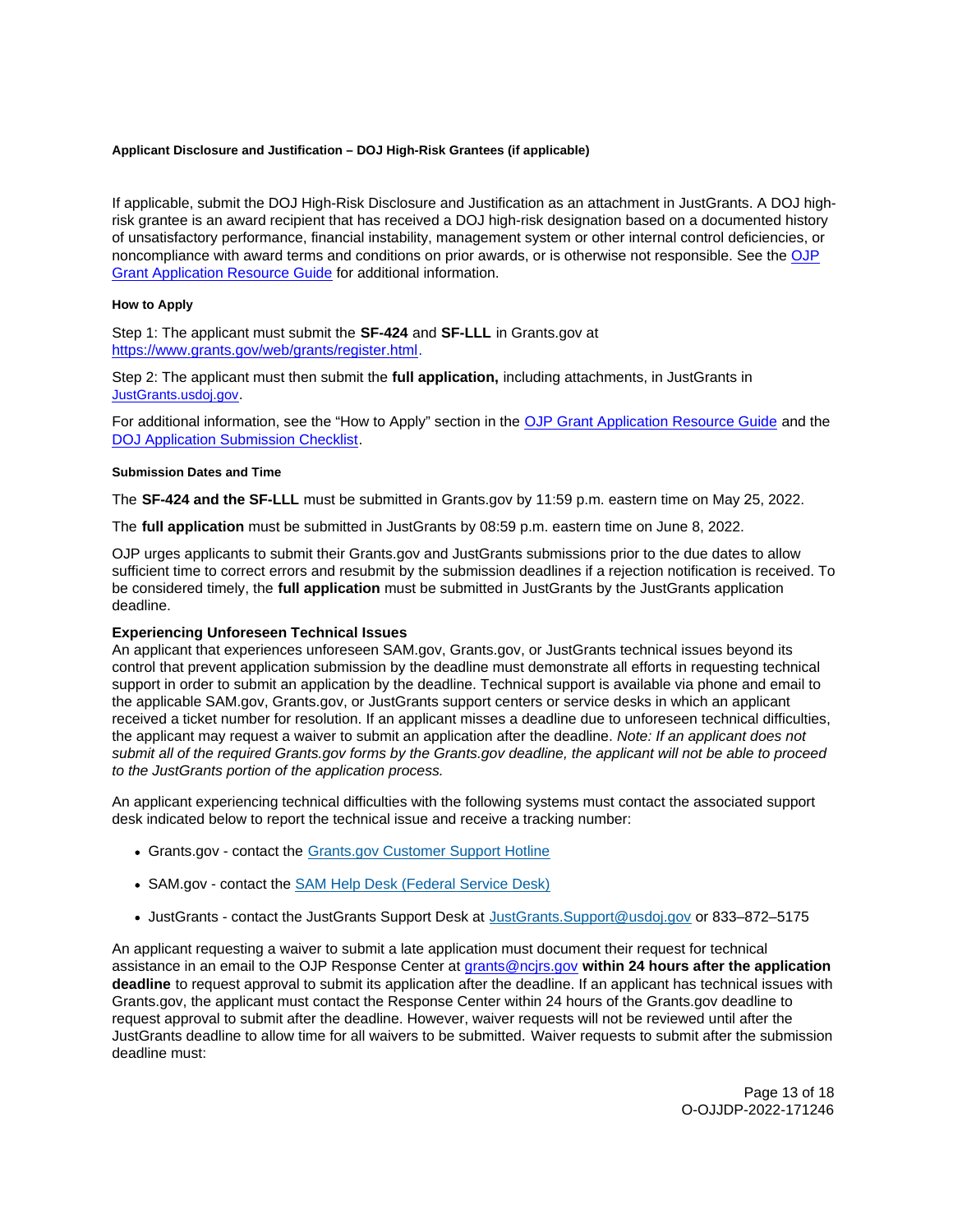## <span id="page-12-0"></span>**Applicant Disclosure and Justification – DOJ High-Risk Grantees (if applicable)**

If applicable, submit the DOJ High-Risk Disclosure and Justification as an attachment in JustGrants. A DOJ highrisk grantee is an award recipient that has received a DOJ high-risk designation based on a documented history of unsatisfactory performance, financial instability, management system or other internal control deficiencies, or noncompliance with award terms and conditions on prior awards, or is otherwise not responsible. See the [OJP](https://www.ojp.gov/funding/apply/ojp-grant-application-resource-guide#applicant-disclosure-justification)  [Grant Application Resource Guide](https://www.ojp.gov/funding/apply/ojp-grant-application-resource-guide#applicant-disclosure-justification) for additional information.

## **How to Apply**

Step 1: The applicant must submit the **SF-424** and **SF-LLL** in [Grants.gov](https://Grants.gov) at [https://www.grants.gov/web/grants/register.html.](https://www.grants.gov/web/grants/register.html) 

Step 2: The applicant must then submit the **full application,** including attachments, in JustGrants in [JustGrants.usdoj.gov.](https://justicegrants.usdoj.gov/)

For additional information, see the "How to Apply" section in the [OJP Grant Application Resource Guide](https://www.ojp.gov/funding/apply/ojp-grant-application-resource-guide#apply) and the [DOJ Application Submission Checklist.](https://justicegrants.usdoj.gov/sites/g/files/xyckuh296/files/media/document/appln-submission-checklist.pdf)

#### **Submission Dates and Time**

The **SF-424 and the SF-LLL** must be submitted in [Grants.gov](https://Grants.gov) by 11:59 p.m. eastern time on May 25, 2022.

The **full application** must be submitted in JustGrants by 08:59 p.m. eastern time on June 8, 2022.

OJP urges applicants to submit their [Grants.gov](https://Grants.gov) and JustGrants submissions prior to the due dates to allow sufficient time to correct errors and resubmit by the submission deadlines if a rejection notification is received. To be considered timely, the **full application** must be submitted in JustGrants by the JustGrants application deadline.

## **Experiencing Unforeseen Technical Issues**

An applicant that experiences unforeseen SAM.gov, [Grants.gov,](https://Grants.gov) or JustGrants technical issues beyond its control that prevent application submission by the deadline must demonstrate all efforts in requesting technical support in order to submit an application by the deadline. Technical support is available via phone and email to the applicable SAM.gov, [Grants.gov,](https://Grants.gov) or JustGrants support centers or service desks in which an applicant received a ticket number for resolution. If an applicant misses a deadline due to unforeseen technical difficulties, the applicant may request a waiver to submit an application after the deadline. Note: If an applicant does not submit all of the required [Grants.gov](https://Grants.gov) forms by the [Grants.gov](https://Grants.gov) deadline, the applicant will not be able to proceed to the JustGrants portion of the application process.

An applicant experiencing technical difficulties with the following systems must contact the associated support desk indicated below to report the technical issue and receive a tracking number:

- [Grants.gov](https://Grants.gov)  contact the [Grants.gov Customer Support Hotline](https://www.grants.gov/web/grants/support.html)
- SAM.gov contact the [SAM Help Desk \(Federal Service Desk\)](https://www.fsd.gov/gsafsd_sp)
- JustGrants contact the JustGrants Support Desk at [JustGrants.Support@usdoj.gov](mailto:JustGrants.Support@usdoj.gov) or 833–872–5175

An applicant requesting a waiver to submit a late application must document their request for technical assistance in an email to the OJP Response Center at [grants@ncjrs.gov](file:///C:/Users/local_Yehj/INetCache/Content.Outlook/20U4XBR7/grants@ncjrs.gov) **within 24 hours after the application deadline** to request approval to submit its application after the deadline. If an applicant has technical issues with [Grants.gov,](https://Grants.gov) the applicant must contact the Response Center within 24 hours of the [Grants.gov](https://Grants.gov) deadline to request approval to submit after the deadline. However, waiver requests will not be reviewed until after the JustGrants deadline to allow time for all waivers to be submitted. Waiver requests to submit after the submission deadline must:

> Page 13 of 18 O-OJJDP-2022-171246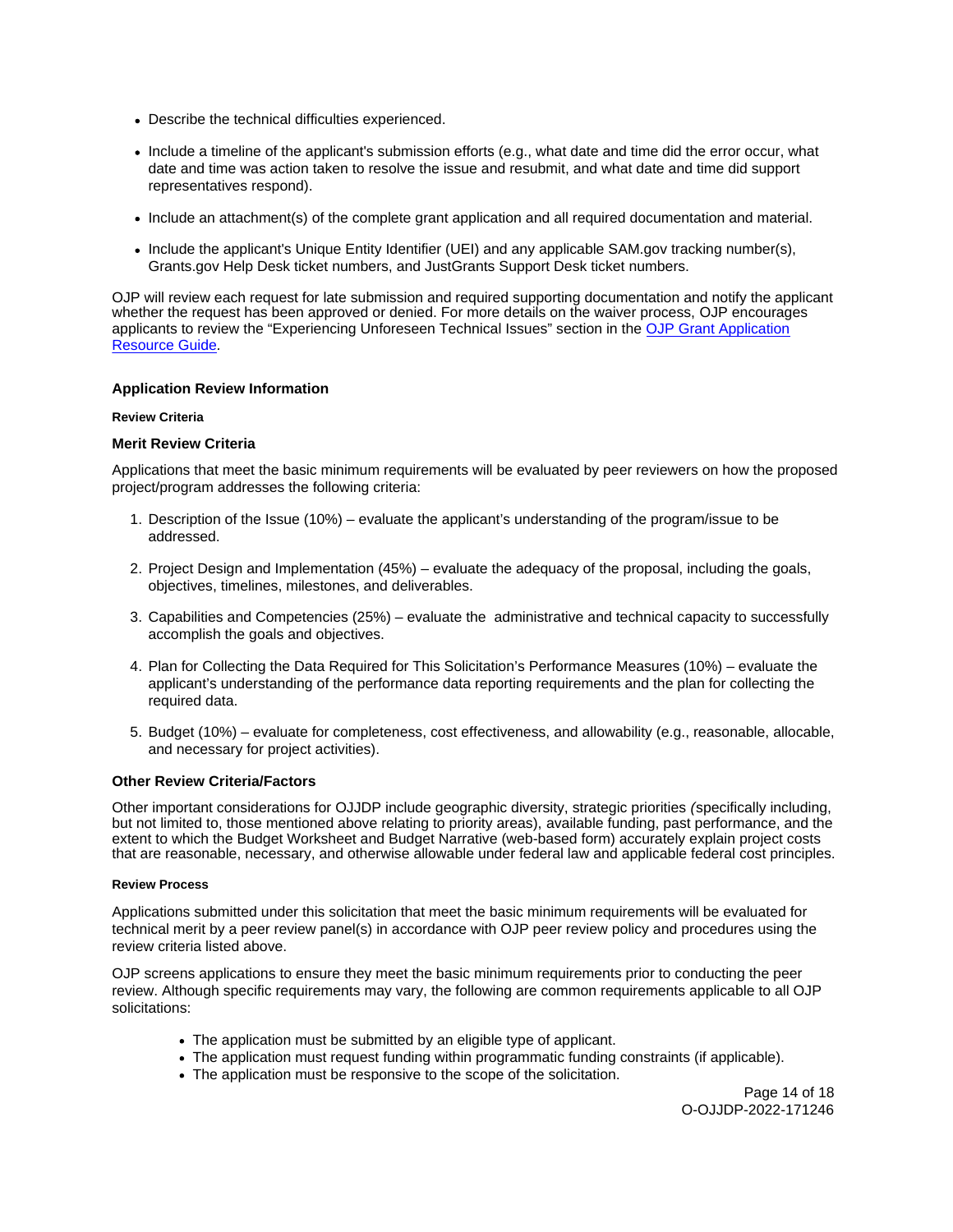- <span id="page-13-0"></span>Describe the technical difficulties experienced.
- Include a timeline of the applicant's submission efforts (e.g., what date and time did the error occur, what date and time was action taken to resolve the issue and resubmit, and what date and time did support representatives respond).
- Include an attachment(s) of the complete grant application and all required documentation and material.
- Include the applicant's Unique Entity Identifier (UEI) and any applicable SAM.gov tracking number(s), [Grants.gov](https://Grants.gov) Help Desk ticket numbers, and JustGrants Support Desk ticket numbers.

OJP will review each request for late submission and required supporting documentation and notify the applicant whether the request has been approved or denied. For more details on the waiver process, OJP encourages applicants to review the "Experiencing Unforeseen Technical Issues" section in the [OJP Grant Application](https://www.ojp.gov/funding/apply/ojp-grant-application-resource-guide#experiencing-unforeseen-technical-issues)  [Resource Guide](https://www.ojp.gov/funding/apply/ojp-grant-application-resource-guide#experiencing-unforeseen-technical-issues).

## **Application Review Information**

## **Review Criteria**

## **Merit Review Criteria**

Applications that meet the basic minimum requirements will be evaluated by peer reviewers on how the proposed project/program addresses the following criteria:

- 1. Description of the Issue (10%) evaluate the applicant's understanding of the program/issue to be addressed.
- 2. Project Design and Implementation (45%) evaluate the adequacy of the proposal, including the goals, objectives, timelines, milestones, and deliverables.
- 3. Capabilities and Competencies (25%) evaluate the administrative and technical capacity to successfully accomplish the goals and objectives.
- 4. Plan for Collecting the Data Required for This Solicitation's Performance Measures (10%) evaluate the applicant's understanding of the performance data reporting requirements and the plan for collecting the required data.
- 5. Budget (10%) evaluate for completeness, cost effectiveness, and allowability (e.g., reasonable, allocable, and necessary for project activities).

## **Other Review Criteria/Factors**

Other important considerations for OJJDP include geographic diversity, strategic priorities (specifically including, but not limited to, those mentioned above relating to priority areas), available funding, past performance, and the extent to which the Budget Worksheet and Budget Narrative (web-based form) accurately explain project costs that are reasonable, necessary, and otherwise allowable under federal law and applicable federal cost principles.

## **Review Process**

Applications submitted under this solicitation that meet the basic minimum requirements will be evaluated for technical merit by a peer review panel(s) in accordance with OJP peer review policy and procedures using the review criteria listed above.

OJP screens applications to ensure they meet the basic minimum requirements prior to conducting the peer review. Although specific requirements may vary, the following are common requirements applicable to all OJP solicitations:

- The application must be submitted by an eligible type of applicant.
- The application must request funding within programmatic funding constraints (if applicable).
- The application must be responsive to the scope of the solicitation.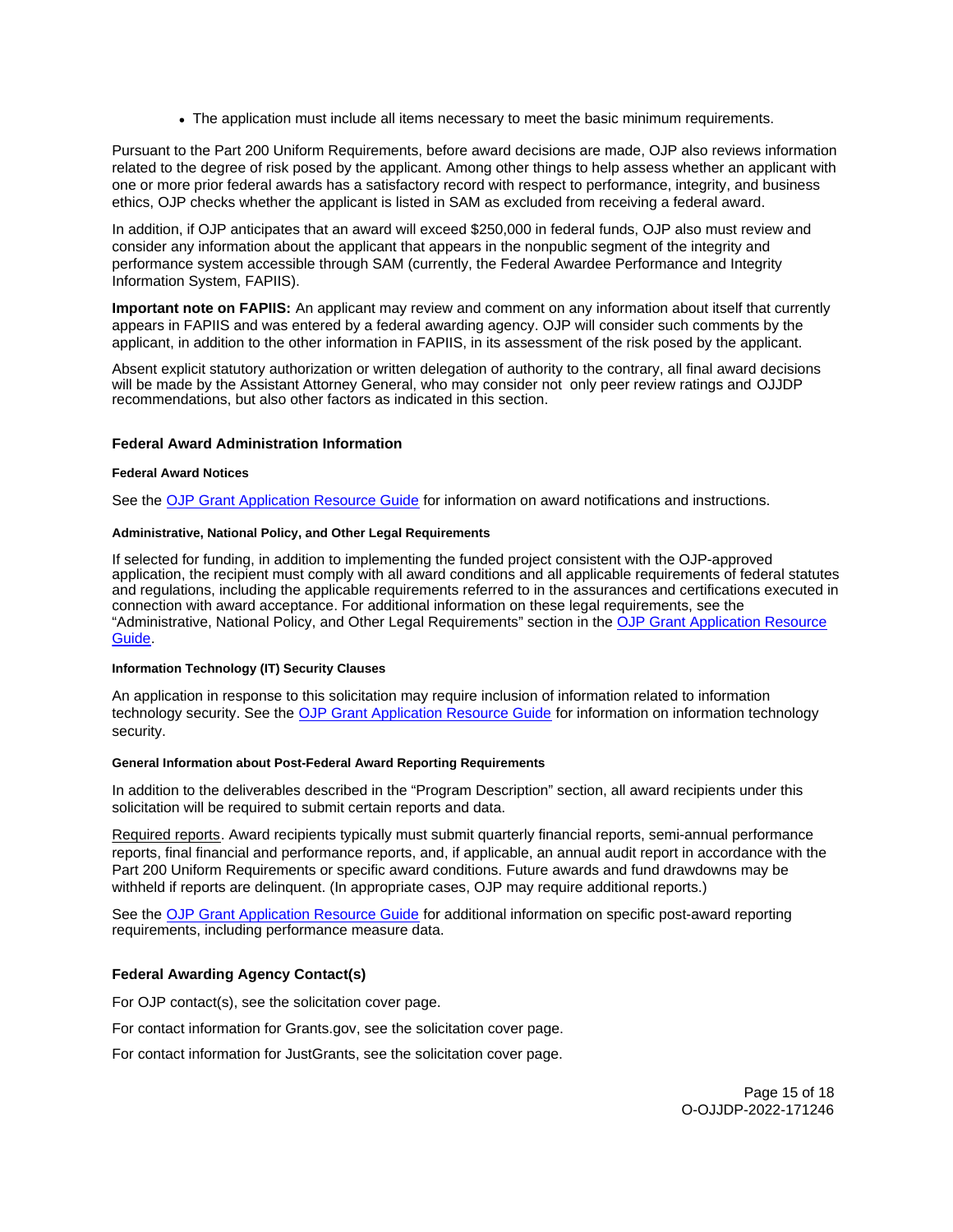The application must include all items necessary to meet the basic minimum requirements.

<span id="page-14-0"></span>Pursuant to the Part 200 Uniform Requirements, before award decisions are made, OJP also reviews information related to the degree of risk posed by the applicant. Among other things to help assess whether an applicant with one or more prior federal awards has a satisfactory record with respect to performance, integrity, and business ethics, OJP checks whether the applicant is listed in SAM as excluded from receiving a federal award.

In addition, if OJP anticipates that an award will exceed \$250,000 in federal funds, OJP also must review and consider any information about the applicant that appears in the nonpublic segment of the integrity and performance system accessible through SAM (currently, the Federal Awardee Performance and Integrity Information System, FAPIIS).

**Important note on FAPIIS:** An applicant may review and comment on any information about itself that currently appears in FAPIIS and was entered by a federal awarding agency. OJP will consider such comments by the applicant, in addition to the other information in FAPIIS, in its assessment of the risk posed by the applicant.

Absent explicit statutory authorization or written delegation of authority to the contrary, all final award decisions will be made by the Assistant Attorney General, who may consider not only peer review ratings and OJJDP recommendations, but also other factors as indicated in this section.

#### **Federal Award Administration Information**

#### **Federal Award Notices**

See the [OJP Grant Application Resource Guide](https://www.ojp.gov/funding/apply/ojp-grant-application-resource-guide#federal-award-notices) for information on award notifications and instructions.

#### **Administrative, National Policy, and Other Legal Requirements**

If selected for funding, in addition to implementing the funded project consistent with the OJP-approved application, the recipient must comply with all award conditions and all applicable requirements of federal statutes and regulations, including the applicable requirements referred to in the assurances and certifications executed in connection with award acceptance. For additional information on these legal requirements, see the "Administrative, National Policy, and Other Legal Requirements" section in the [OJP Grant Application Resource](https://www.ojp.gov/funding/apply/ojp-grant-application-resource-guide#administrative)  [Guide.](https://www.ojp.gov/funding/apply/ojp-grant-application-resource-guide#administrative)

## **Information Technology (IT) Security Clauses**

An application in response to this solicitation may require inclusion of information related to information technology security. See the [OJP Grant Application Resource Guide](https://www.ojp.gov/funding/apply/ojp-grant-application-resource-guide#information-technology) for information on information technology security.

#### **General Information about Post-Federal Award Reporting Requirements**

In addition to the deliverables described in the "Program Description" section, all award recipients under this solicitation will be required to submit certain reports and data.

Required reports. Award recipients typically must submit quarterly financial reports, semi-annual performance reports, final financial and performance reports, and, if applicable, an annual audit report in accordance with the Part 200 Uniform Requirements or specific award conditions. Future awards and fund drawdowns may be withheld if reports are delinquent. (In appropriate cases, OJP may require additional reports.)

See the [OJP Grant Application Resource Guide](https://www.ojp.gov/funding/Apply/Resources/Grant-App-Resource-Guide.htm) for additional information on specific post-award reporting requirements, including performance measure data.

## **Federal Awarding Agency Contact(s)**

For OJP contact(s), see the solicitation cover page.

For contact information for [Grants.gov](https://Grants.gov), see the solicitation cover page.

For contact information for JustGrants, see the solicitation cover page.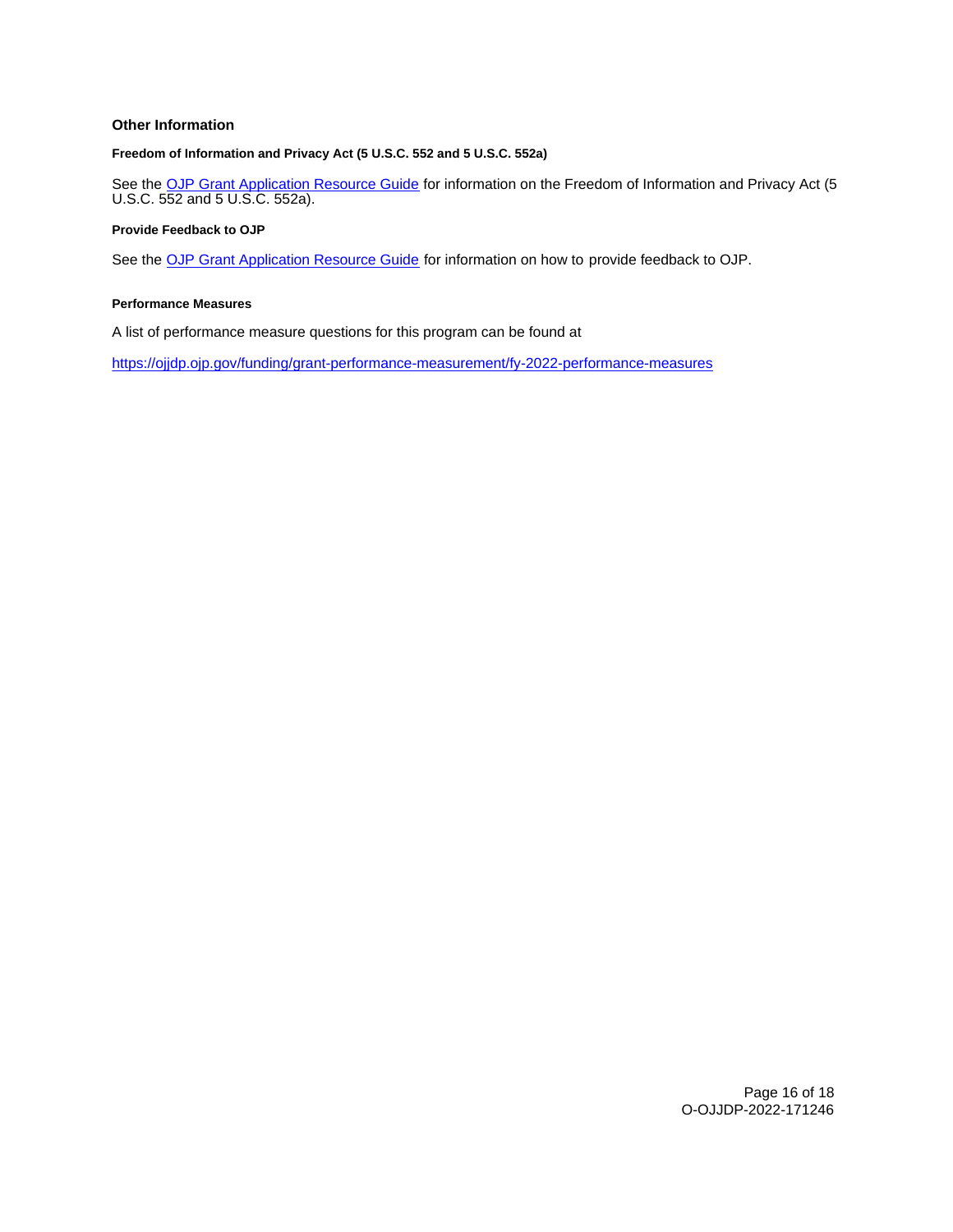## <span id="page-15-0"></span>**Other Information**

## **Freedom of Information and Privacy Act (5 U.S.C. 552 and 5 U.S.C. 552a)**

See the [OJP Grant Application Resource Guide](https://www.ojp.gov/funding/apply/ojp-grant-application-resource-guide#foia) for information on the Freedom of Information and Privacy Act (5 U.S.C. 552 and 5 U.S.C. 552a).

## **Provide Feedback to OJP**

See the [OJP Grant Application Resource Guide](https://www.ojp.gov/funding/apply/ojp-grant-application-resource-guide#feedback) for information on how to provide feedback to OJP.

#### **Performance Measures**

A list of performance measure questions for this program can be found at

[https://ojjdp.ojp.gov/funding/grant-performance-measurement/fy-2022-performance-measures](https://ojjdp.ojp.gov/funding/performance-measures/performance-measures-opioid-affected-youth-program.pdf)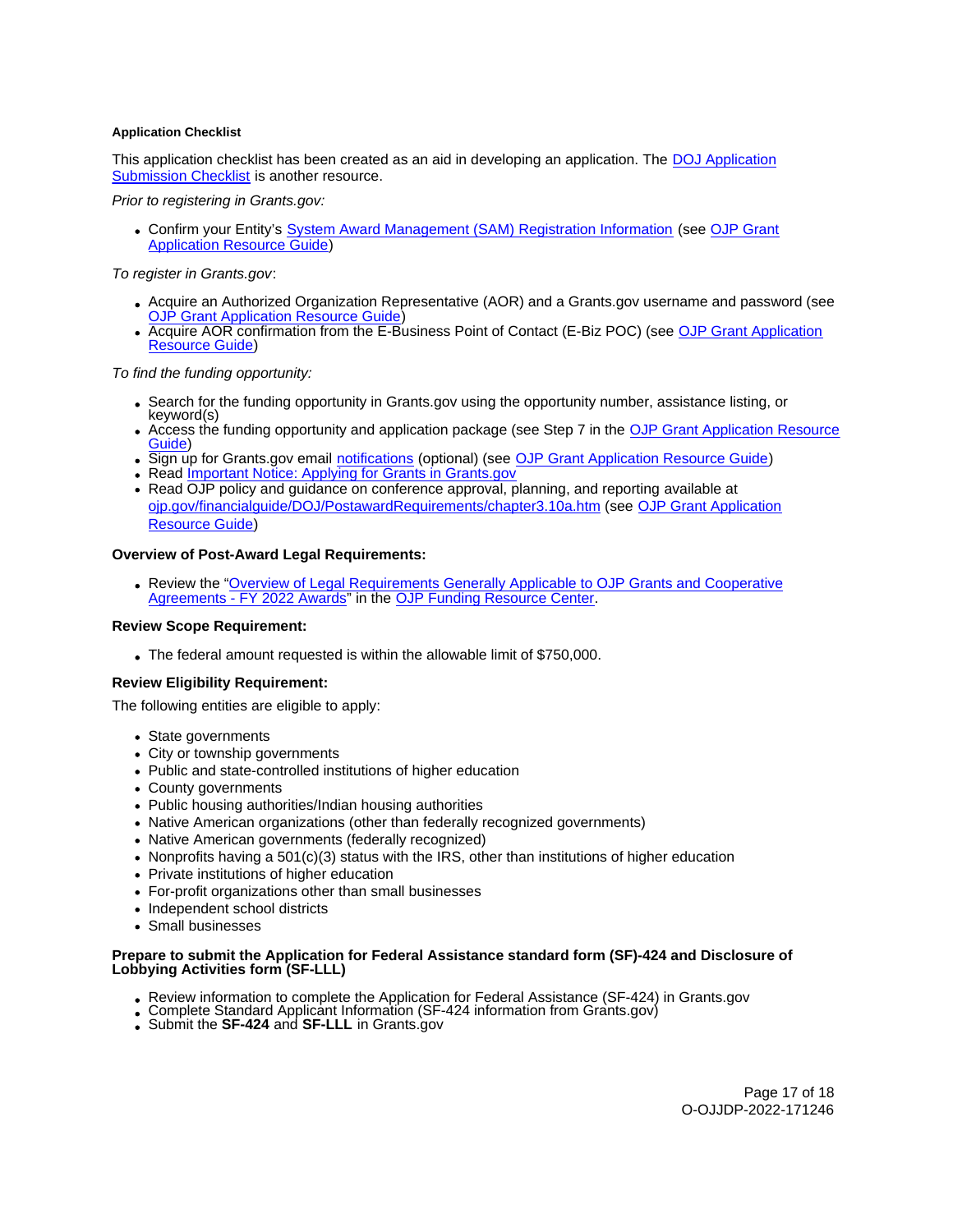## <span id="page-16-0"></span>**Application Checklist**

This application checklist has been created as an aid in developing an application. The [DOJ Application](https://justicegrants.usdoj.gov/sites/g/files/xyckuh296/files/media/document/appln-submission-checklist.pdf)  [Submission Checklist](https://justicegrants.usdoj.gov/sites/g/files/xyckuh296/files/media/document/appln-submission-checklist.pdf) is another resource.

Prior to registering in [Grants.gov](https://Grants.gov):

Confirm your Entity's [System Award Management \(SAM\)](https://sam.gov/SAM/) Registration Information (see [OJP Grant](https://www.ojp.gov/funding/apply/ojp-grant-application-resource-guide#apply)  [Application Resource Guide\)](https://www.ojp.gov/funding/apply/ojp-grant-application-resource-guide#apply)

To register in [Grants.gov](https://Grants.gov):

- Acquire an Authorized Organization Representative (AOR) and a [Grants.gov](https://Grants.gov) username and password (see [OJP Grant Application Resource Guide\)](https://www.ojp.gov/funding/apply/ojp-grant-application-resource-guide#apply)
- Acquire AOR confirmation from the E-Business Point of Contact (E-Biz POC) (see OJP Grant Application [Resource Guide\)](https://www.ojp.gov/funding/apply/ojp-grant-application-resource-guide#apply)

To find the funding opportunity:

- Search for the funding opportunity in [Grants.gov](https://Grants.gov) using the opportunity number, assistance listing, or keyword(s)
- Access the funding opportunity and application package (see Step 7 in the [OJP Grant Application Resource](https://www.ojp.gov/funding/apply/ojp-grant-application-resource-guide#apply)  [Guide\)](https://www.ojp.gov/funding/apply/ojp-grant-application-resource-guide#apply)
- Sign up for [Grants.gov](https://Grants.gov) email [notifications](https://www.grants.gov/web/grants/manage-subscriptions.html) (optional) (see [OJP Grant Application Resource Guide\)](https://www.ojp.gov/funding/apply/ojp-grant-application-resource-guide#apply)
- Read Important Notice: Applying for Grants in Grants.gov
- Read OJP policy and guidance on conference approval, planning, and reporting available at [ojp.gov/financialguide/DOJ/PostawardRequirements/chapter3.10a.htm](https://ojp.gov/financialguide/DOJ/PostawardRequirements/chapter3.10a.htm) (see [OJP Grant Application](https://www.ojp.gov/funding/apply/ojp-grant-application-resource-guide#prior-approval)  [Resource Guide\)](https://www.ojp.gov/funding/apply/ojp-grant-application-resource-guide#prior-approval)

## **Overview of Post-Award Legal Requirements:**

Review the ["Overview of Legal Requirements Generally Applicable to OJP Grants and Cooperative](https://www.ojp.gov/funding/explore/legal-overview-awards)  [Agreements - FY 2022 Awards"](https://www.ojp.gov/funding/explore/legal-overview-awards) in the [OJP Funding Resource Center.](https://www.ojp.gov/funding/explore/legal-overview-awards)

#### **Review Scope Requirement:**

The federal amount requested is within the allowable limit of \$750,000.

#### **Review Eligibility Requirement:**

The following entities are eligible to apply:

- State governments
- City or township governments
- Public and state-controlled institutions of higher education
- County governments
- Public housing authorities/Indian housing authorities
- Native American organizations (other than federally recognized governments)
- Native American governments (federally recognized)
- Nonprofits having a  $501(c)(3)$  status with the IRS, other than institutions of higher education
- Private institutions of higher education
- For-profit organizations other than small businesses
- Independent school districts
- Small businesses

#### **Prepare to submit the Application for Federal Assistance standard form (SF)-424 and Disclosure of Lobbying Activities form (SF-LLL)**

- Review information to complete the Application for Federal Assistance (SF-424) in [Grants.gov](https://Grants.gov)<br>• Complete Standard Applicant Information (SF-424 information from Grants.gov)<br>• Submit the SF-424 and SF-LLL in Grants.gov
- 
-